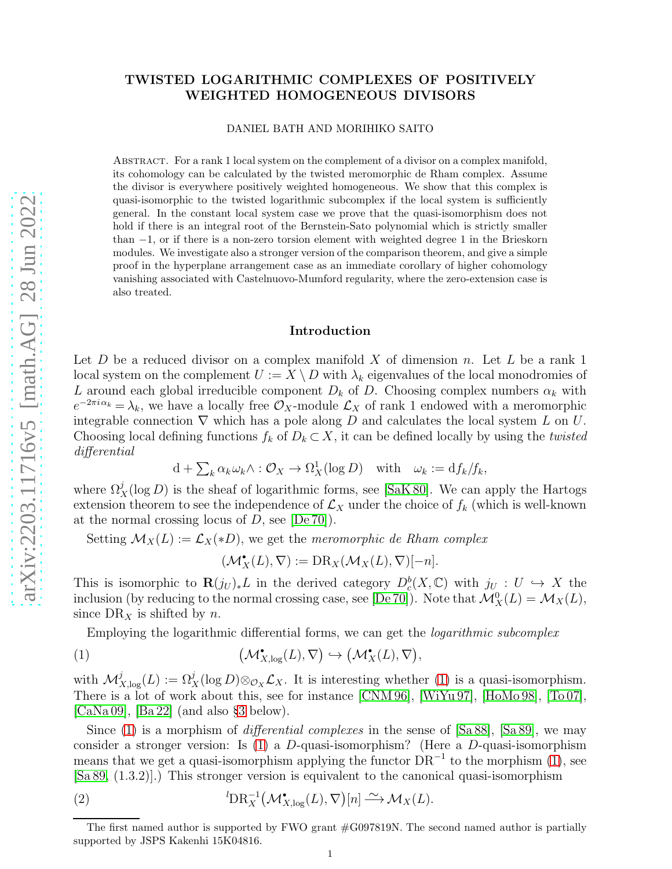# TWISTED LOGARITHMIC COMPLEXES OF POSITIVELY WEIGHTED HOMOGENEOUS DIVISORS

DANIEL BATH AND MORIHIKO SAITO

Abstract. For a rank 1 local system on the complement of a divisor on a complex manifold, its cohomology can be calculated by the twisted meromorphic de Rham complex. Assume the divisor is everywhere positively weighted homogeneous. We show that this complex is quasi-isomorphic to the twisted logarithmic subcomplex if the local system is sufficiently general. In the constant local system case we prove that the quasi-isomorphism does not hold if there is an integral root of the Bernstein-Sato polynomial which is strictly smaller than −1, or if there is a non-zero torsion element with weighted degree 1 in the Brieskorn modules. We investigate also a stronger version of the comparison theorem, and give a simple proof in the hyperplane arrangement case as an immediate corollary of higher cohomology vanishing associated with Castelnuovo-Mumford regularity, where the zero-extension case is also treated.

#### Introduction

Let D be a reduced divisor on a complex manifold X of dimension n. Let L be a rank 1 local system on the complement  $U := X \setminus D$  with  $\lambda_k$  eigenvalues of the local monodromies of L around each global irreducible component  $D_k$  of D. Choosing complex numbers  $\alpha_k$  with  $e^{-2\pi i \alpha_k} = \lambda_k$ , we have a locally free  $\mathcal{O}_X$ -module  $\mathcal{L}_X$  of rank 1 endowed with a meromorphic integrable connection  $\nabla$  which has a pole along D and calculates the local system L on U. Choosing local defining functions  $f_k$  of  $D_k \subset X$ , it can be defined locally by using the *twisted* differential

$$
\mathrm{d} + \sum_k \alpha_k \omega_k \wedge : \mathcal{O}_X \to \Omega^1_X(\log D) \quad \text{with} \quad \omega_k := \mathrm{d} f_k / f_k,
$$

where  $\Omega_X^j(\log D)$  is the sheaf of logarithmic forms, see [\[SaK 80\]](#page-20-0). We can apply the Hartogs extension theorem to see the independence of  $\mathcal{L}_X$  under the choice of  $f_k$  (which is well-known at the normal crossing locus of  $D$ , see [\[De 70\]](#page-20-1)).

Setting  $\mathcal{M}_X(L) := \mathcal{L}_X(*D)$ , we get the meromorphic de Rham complex

<span id="page-0-1"></span><span id="page-0-0"></span> $(\mathcal{M}_X^{\bullet}(L), \nabla) := \text{DR}_X(\mathcal{M}_X(L), \nabla)[-n].$ 

This is isomorphic to  $\mathbf{R}(j_U)_*L$  in the derived category  $D_c^b(X,\mathbb{C})$  with  $j_U: U \hookrightarrow X$  the inclusion (by reducing to the normal crossing case, see [\[De 70\]](#page-20-1)). Note that  $\mathcal{M}_X^0(L) = \mathcal{M}_X(L)$ , since  $DR<sub>X</sub>$  is shifted by n.

Employing the logarithmic differential forms, we can get the logarithmic subcomplex

(1) 
$$
(\mathcal{M}^{\bullet}_{X,\log}(L), \nabla) \hookrightarrow (\mathcal{M}^{\bullet}_{X}(L), \nabla),
$$

with  $\mathcal{M}_{X,\log}^j(L) := \Omega_X^j(\log D) \otimes_{\mathcal{O}_X} \mathcal{L}_X$ . It is interesting whether [\(1\)](#page-0-0) is a quasi-isomorphism. There is a lot of work about this, see for instance [\[CNM 96\]](#page-20-2), [\[WiYu 97\]](#page-21-0), [\[HoMo 98\]](#page-20-3), [\[To 07\]](#page-21-1),  $[CaNa 09]$ ,  $[Ba 22]$  (and also §[3](#page-14-0) below).

Since [\(1\)](#page-0-0) is a morphism of *differential complexes* in the sense of [\[Sa 88\]](#page-20-6), [\[Sa 89\]](#page-20-7), we may consider a stronger version: Is [\(1\)](#page-0-0) a D-quasi-isomorphism? (Here a D-quasi-isomorphism means that we get a quasi-isomorphism applying the functor  $DR^{-1}$  to the morphism [\(1\)](#page-0-0), see [\[Sa 89,](#page-20-7) (1.3.2)].) This stronger version is equivalent to the canonical quasi-isomorphism

(2) 
$$
{}^{l}\mathbf{DR}_{X}^{-1}(\mathcal{M}_{X,\log}^{\bullet}(L),\nabla)[n] \xrightarrow{\sim} \mathcal{M}_{X}(L).
$$

The first named author is supported by FWO grant #G097819N. The second named author is partially supported by JSPS Kakenhi 15K04816.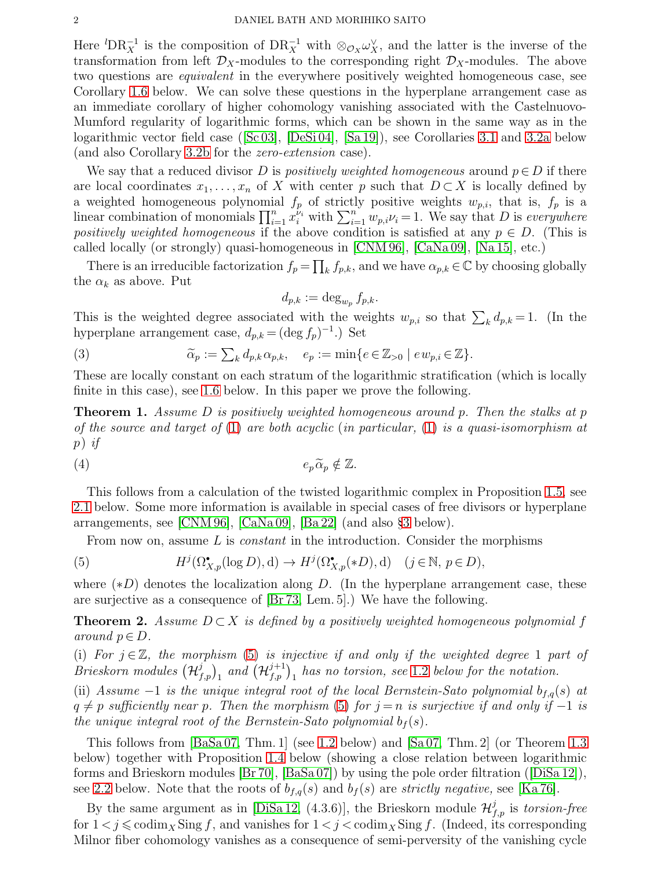Here  ${}^{l}DR_X^{-1}$  is the composition of  $DR_X^{-1}$  with  $\otimes_{\mathcal{O}_X}\omega_X^{\vee}$ , and the latter is the inverse of the transformation from left  $\mathcal{D}_X$ -modules to the corresponding right  $\mathcal{D}_X$ -modules. The above two questions are *equivalent* in the everywhere positively weighted homogeneous case, see Corollary [1.6](#page-9-0) below. We can solve these questions in the hyperplane arrangement case as an immediate corollary of higher cohomology vanishing associated with the Castelnuovo-Mumford regularity of logarithmic forms, which can be shown in the same way as in the logarithmic vector field case([\[Sc 03\]](#page-21-2), [\[DeSi 04\]](#page-20-8), [\[Sa 19\]](#page-21-3)), see Corollaries [3.1](#page-14-1) and [3.2a](#page-15-0) below (and also Corollary [3.2b](#page-17-0) for the zero-extension case).

We say that a reduced divisor D is positively weighted homogeneous around  $p \in D$  if there are local coordinates  $x_1, \ldots, x_n$  of X with center p such that  $D \subset X$  is locally defined by a weighted homogeneous polynomial  $f_p$  of strictly positive weights  $w_{p,i}$ , that is,  $f_p$  is a linear combination of monomials  $\prod_{i=1}^{n} x_i^{\nu_i}$  with  $\sum_{i=1}^{n} w_{p,i} \nu_i = 1$ . We say that D is everywhere positively weighted homogeneous if the above condition is satisfied at any  $p \in D$ . (This is called locally (or strongly) quasi-homogeneous in [\[CNM 96\]](#page-20-2), [\[CaNa 09\]](#page-20-4), [\[Na](#page-20-9) 15], etc.)

There is an irreducible factorization  $f_p = \prod_k f_{p,k}$ , and we have  $\alpha_{p,k} \in \mathbb{C}$  by choosing globally the  $\alpha_k$  as above. Put

<span id="page-1-2"></span><span id="page-1-0"></span>
$$
d_{p,k} := \deg_{w_p} f_{p,k}.
$$

This is the weighted degree associated with the weights  $w_{p,i}$  so that  $\sum_k d_{p,k} = 1$ . (In the hyperplane arrangement case,  $d_{p,k} = (\deg f_p)^{-1}$ .) Set

(3) 
$$
\widetilde{\alpha}_p := \sum_k d_{p,k} \alpha_{p,k}, \quad e_p := \min \{ e \in \mathbb{Z}_{>0} \mid e w_{p,i} \in \mathbb{Z} \}.
$$

These are locally constant on each stratum of the logarithmic stratification (which is locally finite in this case), see [1.6](#page-8-0) below. In this paper we prove the following.

<span id="page-1-3"></span>**Theorem 1.** Assume D is positively weighted homogeneous around p. Then the stalks at p of the source and target of  $(1)$  are both acyclic (in particular,  $(1)$  is a quasi-isomorphism at p) if

<span id="page-1-4"></span>
$$
(4) \t\t\t e_p\widetilde{\alpha}_p \notin \mathbb{Z}.
$$

This follows from a calculation of the twisted logarithmic complex in Proposition [1.5,](#page-8-1) see [2.1](#page-11-0) below. Some more information is available in special cases of free divisors or hyperplane arrangements, see [\[CNM 96\]](#page-20-2), [\[CaNa 09\]](#page-20-4), [\[Ba 22\]](#page-20-5) (and also §[3](#page-14-0) below).

From now on, assume  $L$  is *constant* in the introduction. Consider the morphisms

(5) 
$$
H^j(\Omega^{\bullet}_{X,p}(\log D), d) \to H^j(\Omega^{\bullet}_{X,p}(*D), d) \quad (j \in \mathbb{N}, p \in D),
$$

where  $(*D)$  denotes the localization along D. (In the hyperplane arrangement case, these are surjective as a consequence of [\[Br 73,](#page-20-10) Lem. 5].) We have the following.

<span id="page-1-1"></span>**Theorem 2.** Assume  $D \subset X$  is defined by a positively weighted homogeneous polynomial f around  $p \in D$ .

(i) For  $j \in \mathbb{Z}$ , the morphism [\(5\)](#page-1-0) is injective if and only if the weighted degree 1 part of Brieskorn modules  $(\mathcal{H}_{f,p}^{j})_1$  and  $(\mathcal{H}_{f,p}^{j+1})_1$  has no torsion, see [1.2](#page-4-0) below for the notation.

(ii) Assume  $-1$  is the unique integral root of the local Bernstein-Sato polynomial  $b_{f,q}(s)$  at  $q \neq p$  sufficiently near p. Then the morphism [\(5\)](#page-1-0) for  $j = n$  is surjective if and only if  $-1$  is the unique integral root of the Bernstein-Sato polynomial  $b_f(s)$ .

This follows from [\[BaSa 07,](#page-20-11) Thm. 1] (see [1.2](#page-4-0) below) and [\[Sa 07,](#page-21-4) Thm. 2] (or Theorem [1.3](#page-5-0) below) together with Proposition [1.4](#page-6-0) below (showing a close relation between logarithmic forms and Brieskorn modules [\[Br 70\]](#page-20-12), [\[BaSa 07\]](#page-20-11)) by using the pole order filtration([\[DiSa 12\]](#page-20-13)), see [2.2](#page-12-0) below. Note that the roots of  $b_{f,q}(s)$  and  $b_f(s)$  are strictly negative, see [\[Ka 76\]](#page-20-14).

By the same argument as in [\[DiSa 12,](#page-20-13) (4.3.6)], the Brieskorn module  $\mathcal{H}_{f,p}^{j}$  is *torsion-free* for  $1 < j \leq \text{codim}_X \text{Sing } f$ , and vanishes for  $1 < j < \text{codim}_X \text{Sing } f$ . (Indeed, its corresponding Milnor fiber cohomology vanishes as a consequence of semi-perversity of the vanishing cycle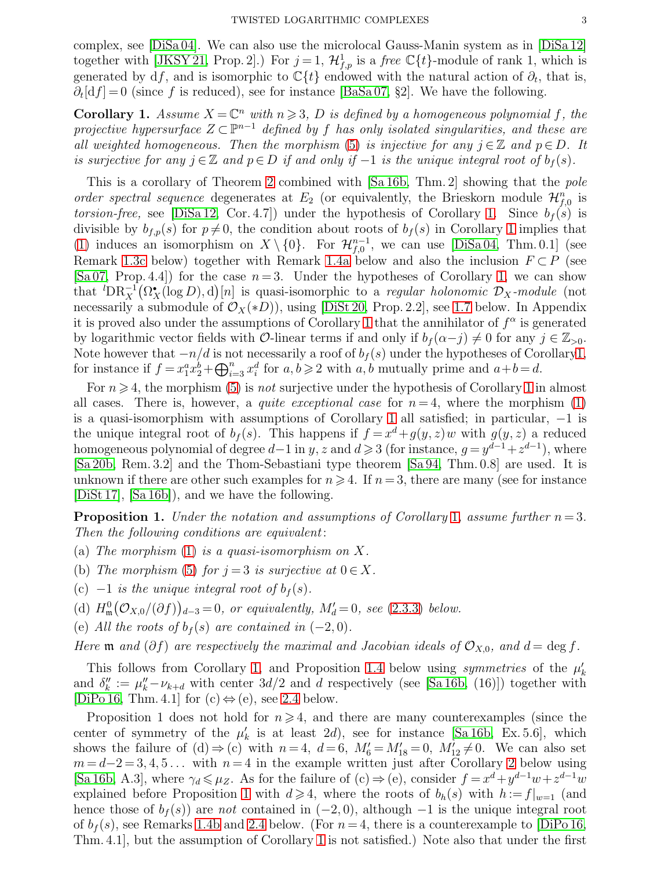complex, see  $[Disa 04]$ . We can also use the microlocal Gauss-Manin system as in  $[Disa 12]$ together with [\[JKSY 21,](#page-20-16) Prop. 2].) For  $j=1$ ,  $\mathcal{H}_{f,p}^1$  is a free  $\mathbb{C}{t}$ -module of rank 1, which is generated by df, and is isomorphic to  $\mathbb{C}{t}$  endowed with the natural action of  $\partial_t$ , that is,  $\partial_t[\mathrm{d}f] = 0$  (since f is reduced), see for instance [\[BaSa 07,](#page-20-11) §2]. We have the following.

<span id="page-2-0"></span>**Corollary 1.** Assume  $X = \mathbb{C}^n$  with  $n \geq 3$ , D is defined by a homogeneous polynomial f, the projective hypersurface  $Z \subset \mathbb{P}^{n-1}$  defined by f has only isolated singularities, and these are all weighted homogeneous. Then the morphism [\(5\)](#page-1-0) is injective for any  $j \in \mathbb{Z}$  and  $p \in D$ . It is surjective for any  $j \in \mathbb{Z}$  and  $p \in D$  if and only if  $-1$  is the unique integral root of  $b_f(s)$ .

This is a corollary of Theorem [2](#page-1-1) combined with [\[Sa 16b,](#page-21-5) Thm. 2] showing that the pole order spectral sequence degenerates at  $E_2$  (or equivalently, the Brieskorn module  $\mathcal{H}_{f,0}^n$  is torsion-free, see [\[DiSa 12,](#page-20-13) Cor. 4.7]) under the hypothesis of Corollary [1.](#page-2-0) Since  $b_f(s)$  is divisible by  $b_{f,p}(s)$  for  $p\neq 0$ , the condition about roots of  $b_f(s)$  in Corollary [1](#page-2-0) implies that [\(1\)](#page-0-0) induces an isomorphism on  $X \setminus \{0\}$ . For  $\mathcal{H}_{f,0}^{n-1}$ , we can use [\[DiSa 04,](#page-20-15) Thm. 0.1] (see Remark [1.3c](#page-5-1) below) together with Remark [1.4a](#page-7-0) below and also the inclusion  $F \subset P$  (see [\[Sa 07,](#page-21-4) Prop. 4.4]) for the case  $n=3$ . Under the hypotheses of Corollary [1,](#page-2-0) we can show that  ${}^{l}DR_X^{-1}(\Omega_X^{\bullet}(\log D), d)[n]$  is quasi-isomorphic to a *regular holonomic*  $\mathcal{D}_X$ -module (not necessarily a submodule of  $\mathcal{O}_X(*D)$ , using [\[DiSt 20,](#page-20-17) Prop. 2.2], see [1.7](#page-9-1) below. In Appendix it is proved also under the assumptions of Corollary [1](#page-2-0) that the annihilator of  $f^{\alpha}$  is generated by logarithmic vector fields with O-linear terms if and only if  $b_f(\alpha-j) \neq 0$  for any  $j \in \mathbb{Z}_{>0}$ . Note however that  $-n/d$  is not necessarily a roof of  $b_f(s)$  under the hypotheses of Corollar[y1,](#page-2-0) for instance if  $f = x_1^a x_2^b + \bigoplus_{i=3}^n x_i^d$  for  $a, b \ge 2$  with  $a, b$  mutually prime and  $a+b=d$ .

For  $n \geq 4$ , the morphism [\(5\)](#page-1-0) is *not* surjective under the hypothesis of Corollary [1](#page-2-0) in almost all cases. There is, however, a *quite exceptional case* for  $n = 4$ , where the morphism [\(1\)](#page-0-0) is a quasi-isomorphism with assumptions of Corollary [1](#page-2-0) all satisfied; in particular, −1 is the unique integral root of  $b_f(s)$ . This happens if  $f = x^d + g(y, z)w$  with  $g(y, z)$  a reduced homogeneous polynomial of degree  $d-1$  in  $y, z$  and  $d \geqslant 3$  (for instance,  $g = y^{d-1} + z^{d-1}$ ), where [\[Sa 20b,](#page-21-6) Rem. 3.2] and the Thom-Sebastiani type theorem [\[Sa 94,](#page-20-18) Thm. 0.8] are used. It is unknown if there are other such examples for  $n \geq 4$ . If  $n = 3$ , there are many (see for instance [\[DiSt 17\]](#page-20-19), [\[Sa 16b\]](#page-21-5)), and we have the following.

<span id="page-2-1"></span>**Proposition [1](#page-2-0).** Under the notation and assumptions of Corollary 1, assume further  $n = 3$ . Then the following conditions are equivalent:

- <span id="page-2-2"></span>(a) The morphism  $(1)$  is a quasi-isomorphism on X.
- <span id="page-2-3"></span>(b) The morphism [\(5\)](#page-1-0) for  $j = 3$  is surjective at  $0 \in X$ .
- <span id="page-2-4"></span>(c)  $-1$  is the unique integral root of  $b_f(s)$ .
- <span id="page-2-5"></span>(d)  $H_{\mathfrak{m}}^0(\mathcal{O}_{X,0}/(\partial f))_{d-3}=0$ , or equivalently,  $M'_d=0$ , see [\(2.3.3\)](#page-12-1) below.
- <span id="page-2-6"></span>(e) All the roots of  $b_f(s)$  are contained in  $(-2,0)$ .

Here  $\mathfrak m$  and  $(\partial f)$  are respectively the maximal and Jacobian ideals of  $\mathcal O_{X,0}$ , and  $d = \deg f$ .

This follows from Corollary [1,](#page-2-0) and Proposition [1.4](#page-6-0) below using *symmetries* of the  $\mu'_k$ and  $\delta''_k := \mu''_k - \nu_{k+d}$  with center  $3d/2$  and d respectively (see [\[Sa 16b,](#page-21-5) (16)]) together with [\[DiPo 16,](#page-20-20) Thm. 4.1] for  $(c) \Leftrightarrow (e)$ , see [2.4](#page-13-0) below.

Proposition 1 does not hold for  $n \geq 4$ , and there are many counterexamples (since the center of symmetry of the  $\mu'_{k}$  is at least 2d), see for instance [\[Sa 16b,](#page-21-5) Ex. 5.6], which shows the failure of (d)  $\Rightarrow$  (c) with  $n=4$ ,  $d=6$ ,  $M'_{6}=M'_{18}=0$ ,  $M'_{12}\neq 0$ . We can also set  $m = d-2 = 3, 4, 5...$  with  $n = 4$  in the example written just after Corollary [2](#page-3-0) below using [\[Sa 16b,](#page-21-5) A.3], where  $\gamma_d \leq \mu_Z$ . As for the failure of (c)  $\Rightarrow$  (e), consider  $f = x^d + y^{d-1}w + z^{d-1}w$ explained before Proposition [1](#page-2-1) with  $d \geq 4$ , where the roots of  $b_h(s)$  with  $h := f|_{w=1}$  (and hence those of  $b_f(s)$  are not contained in  $(-2, 0)$ , although  $-1$  is the unique integral root of  $b_f(s)$ , see Remarks [1.4b](#page-7-1) and [2.4](#page-13-1) below. (For  $n = 4$ , there is a counterexample to [\[DiPo 16,](#page-20-20) Thm. 4.1], but the assumption of Corollary [1](#page-2-0) is not satisfied.) Note also that under the first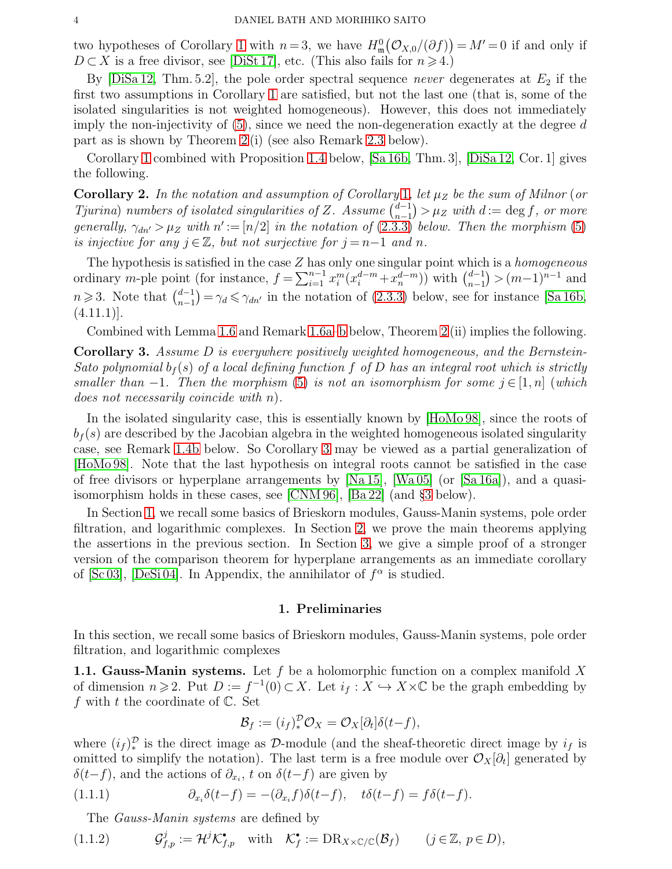two hypotheses of Corollary [1](#page-2-0) with  $n=3$ , we have  $H_{\mathfrak{m}}^{0}(\mathcal{O}_{X,0}/(\partial f))=M'=0$  if and only if  $D \subset X$  is a free divisor, see [\[DiSt 17\]](#page-20-19), etc. (This also fails for  $n \ge 4$ .)

By  $[DiSa 12, Thm. 5.2]$ , the pole order spectral sequence never degenerates at  $E_2$  if the first two assumptions in Corollary [1](#page-2-0) are satisfied, but not the last one (that is, some of the isolated singularities is not weighted homogeneous). However, this does not immediately imply the non-injectivity of  $(5)$ , since we need the non-degeneration exactly at the degree d part as is shown by Theorem [2](#page-1-1) (i) (see also Remark [2.3](#page-12-2) below).

Corollary [1](#page-2-0) combined with Proposition [1.4](#page-6-0) below, [\[Sa 16b,](#page-21-5) Thm. 3], [\[DiSa 12,](#page-20-13) Cor. 1] gives the following.

<span id="page-3-0"></span>Corollary 2. In the notation and assumption of Corollary [1](#page-2-0), let  $\mu_Z$  be the sum of Milnor (or Tjurina) numbers of isolated singularities of Z. Assume  $\begin{pmatrix} d-1 \\ n-1 \end{pmatrix}$  $n-1$  $)=\mu_Z$  with  $d:=\deg f$ , or more generally,  $\gamma_{dn'} > \mu_Z$  with  $n' := [n/2]$  in the notation of [\(2.3.3\)](#page-12-1) below. Then the morphism [\(5\)](#page-1-0) is injective for any  $j \in \mathbb{Z}$ , but not surjective for  $j = n-1$  and n.

The hypothesis is satisfied in the case  $Z$  has only one singular point which is a *homogeneous* ordinary m-ple point (for instance,  $f = \sum_{i=1}^{n-1} x_i^m (x_i^{d-m} + x_n^{d-m})$ ) with  $\binom{d-1}{n-1}$  $n-1$  $) > (m-1)^{n-1}$  and  $n \geqslant 3$ . Note that  $\binom{d-1}{n-1}$  $n-1$  $= \gamma_d \leq \gamma_{dn'}$  in the notation of [\(2.3.3\)](#page-12-1) below, see for instance [\[Sa 16b,](#page-21-5)  $(4.11.1)$ ].

Combined with Lemma [1.6](#page-9-2) and Remark [1.6a–](#page-8-2)[b](#page-8-3) below, Theorem [2](#page-1-1) (ii) implies the following.

<span id="page-3-1"></span>**Corollary 3.** Assume D is everywhere positively weighted homogeneous, and the Bernstein-Sato polynomial  $b_f(s)$  of a local defining function f of D has an integral root which is strictly smaller than  $-1$ . Then the morphism [\(5\)](#page-1-0) is not an isomorphism for some  $j \in [1,n]$  (which does not necessarily coincide with n).

In the isolated singularity case, this is essentially known by [\[HoMo 98\]](#page-20-3), since the roots of  $b_f(s)$  are described by the Jacobian algebra in the weighted homogeneous isolated singularity case, see Remark [1.4b](#page-7-1) below. So Corollary [3](#page-3-1) may be viewed as a partial generalization of [\[HoMo 98\]](#page-20-3). Note that the last hypothesis on integral roots cannot be satisfied in the case of free divisors or hyperplane arrangements by [\[Na 15\]](#page-20-9), [\[Wa 05\]](#page-21-7) (or [\[Sa 16a\]](#page-21-8)), and a quasiisomorphism holds in these cases, see [\[CNM 96\]](#page-20-2), [\[Ba 22\]](#page-20-5) (and §[3](#page-14-0) below).

In Section [1,](#page-3-2) we recall some basics of Brieskorn modules, Gauss-Manin systems, pole order filtration, and logarithmic complexes. In Section [2,](#page-11-1) we prove the main theorems applying the assertions in the previous section. In Section [3,](#page-14-0) we give a simple proof of a stronger version of the comparison theorem for hyperplane arrangements as an immediate corollary of [\[Sc 03\]](#page-21-2), [\[DeSi 04\]](#page-20-8). In Appendix, the annihilator of  $f^{\alpha}$  is studied.

## 1. Preliminaries

<span id="page-3-2"></span>In this section, we recall some basics of Brieskorn modules, Gauss-Manin systems, pole order filtration, and logarithmic complexes

**1.1. Gauss-Manin systems.** Let f be a holomorphic function on a complex manifold X of dimension  $n \geq 2$ . Put  $D := f^{-1}(0) \subset X$ . Let  $i_f : X \hookrightarrow X \times \mathbb{C}$  be the graph embedding by f with t the coordinate of  $\mathbb{C}$ . Set

<span id="page-3-3"></span>
$$
\mathcal{B}_f := (i_f)_*^{\mathcal{D}} \mathcal{O}_X = \mathcal{O}_X[\partial_t] \delta(t - f),
$$

where  $(i_f)_{*}^{\mathcal{D}}$  is the direct image as  $\mathcal{D}$ -module (and the sheaf-theoretic direct image by  $i_f$  is omitted to simplify the notation). The last term is a free module over  $\mathcal{O}_X[\partial_t]$  generated by  $\delta(t-f)$ , and the actions of  $\partial_{x_i}$ , t on  $\delta(t-f)$  are given by

(1.1.1) 
$$
\partial_{x_i} \delta(t-f) = -(\partial_{x_i} f) \delta(t-f), \quad t\delta(t-f) = f\delta(t-f).
$$

The *Gauss-Manin systems* are defined by

(1.1.2) 
$$
\mathcal{G}_{f,p}^j := \mathcal{H}^j \mathcal{K}_{f,p}^{\bullet} \quad \text{with} \quad \mathcal{K}_f^{\bullet} := \text{DR}_{X \times \mathbb{C}/\mathbb{C}}(\mathcal{B}_f) \qquad (j \in \mathbb{Z}, \ p \in D),
$$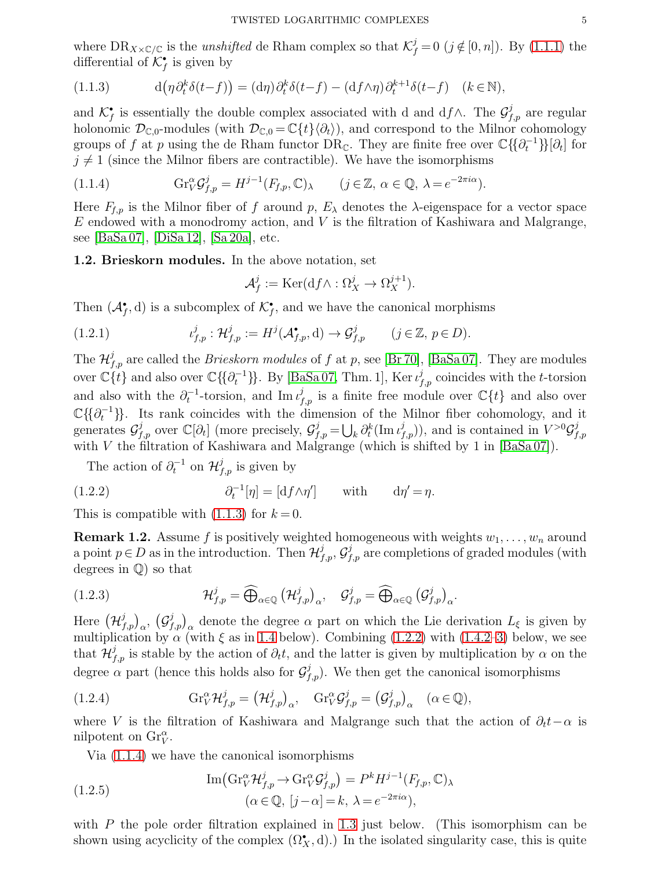where  $DR_{X\times\mathbb{C}/\mathbb{C}}$  is the *unshifted* de Rham complex so that  $\mathcal{K}^j_f = 0$  ( $j \notin [0, n]$ ). By [\(1.1.1\)](#page-3-3) the differential of  $\mathcal{K}_f^{\bullet}$  is given by

<span id="page-4-1"></span>(1.1.3) 
$$
d(\eta \partial_t^k \delta(t-f)) = (d\eta) \partial_t^k \delta(t-f) - (df \wedge \eta) \partial_t^{k+1} \delta(t-f) \quad (k \in \mathbb{N}),
$$

and  $\mathcal{K}_f^{\bullet}$  is essentially the double complex associated with d and d $f \wedge$ . The  $\mathcal{G}_{f,p}^j$  are regular holonomic  $\mathcal{D}_{\mathbb{C},0}$ -modules (with  $\mathcal{D}_{\mathbb{C},0} = \mathbb{C}\lbrace t \rbrace \langle \partial_t \rangle$ ), and correspond to the Milnor cohomology groups of f at p using the de Rham functor  $\text{DR}_{\mathbb{C}}$ . They are finite free over  $\mathbb{C}\{\{\partial_t^{-1}\}\}[\partial_t]$  for  $j \neq 1$  (since the Milnor fibers are contractible). We have the isomorphisms

(1.1.4) 
$$
\mathrm{Gr}_{V}^{\alpha} \mathcal{G}_{f,p}^{j} = H^{j-1}(F_{f,p}, \mathbb{C})_{\lambda} \qquad (j \in \mathbb{Z}, \alpha \in \mathbb{Q}, \lambda = e^{-2\pi i \alpha}).
$$

Here  $F_{f,p}$  is the Milnor fiber of f around p,  $E_\lambda$  denotes the  $\lambda$ -eigenspace for a vector space  $E$  endowed with a monodromy action, and  $V$  is the filtration of Kashiwara and Malgrange, see [\[BaSa 07\]](#page-20-11), [\[DiSa 12\]](#page-20-13), [\[Sa 20a\]](#page-21-9), etc.

<span id="page-4-0"></span>1.2. Brieskorn modules. In the above notation, set

<span id="page-4-3"></span><span id="page-4-2"></span>
$$
\mathcal{A}_f^j := \text{Ker}(\text{d}f \wedge : \Omega_X^j \to \Omega_X^{j+1}).
$$

Then  $(\mathcal{A}_{f}^{\bullet}, d)$  is a subcomplex of  $\mathcal{K}_{f}^{\bullet}$ , and we have the canonical morphisms

(1.2.1) 
$$
\iota_{f,p}^j : \mathcal{H}_{f,p}^j := H^j(\mathcal{A}_{f,p}^{\bullet}, d) \to \mathcal{G}_{f,p}^j \qquad (j \in \mathbb{Z}, p \in D).
$$

The  $\mathcal{H}_{f,p}^{j}$  are called the *Brieskorn modules* of f at p, see [\[Br 70\]](#page-20-12), [\[BaSa 07\]](#page-20-11). They are modules over  $\mathbb{C}{t}$  and also over  $\mathbb{C}{\{\partial_t^{-1}\}}$ . By [\[BaSa 07,](#page-20-11) Thm. 1], Ker $\iota_{f,p}^j$  coincides with the t-torsion and also with the  $\partial_t^{-1}$ -torsion, and Im  $\iota_{f,p}^j$  is a finite free module over  $\mathbb{C}{t}$  and also over  $\mathbb{C}\{\{\partial_t^{-1}\}\}\$ . Its rank coincides with the dimension of the Milnor fiber cohomology, and it generates  $\mathcal{G}^j_{f,p}$  over  $\mathbb{C}[\partial_t]$  (more precisely,  $\mathcal{G}^j_{f,p} = \bigcup_k \partial_t^k(\text{Im } \iota^j_{f,p})$ ), and is contained in  $V^{>0} \mathcal{G}^j_f$  $_{f,p}$ with V the filtration of Kashiwara and Malgrange (which is shifted by 1 in  $[BaSa 07]$ ).

The action of  $\partial_t^{-1}$  on  $\mathcal{H}_{f,p}^j$  is given by

(1.2.2) 
$$
\partial_t^{-1}[\eta] = [\mathrm{d} f \wedge \eta'] \quad \text{with} \quad \mathrm{d}\eta' = \eta.
$$

This is compatible with  $(1.1.3)$  for  $k = 0$ .

<span id="page-4-4"></span>**Remark 1.2.** Assume f is positively weighted homogeneous with weights  $w_1, \ldots, w_n$  around a point  $p \in D$  as in the introduction. Then  $\mathcal{H}_{f,p}^j$ ,  $\mathcal{G}_{f,p}^j$  are completions of graded modules (with degrees in Q) so that

(1.2.3) 
$$
\mathcal{H}_{f,p}^j = \widehat{\bigoplus}_{\alpha \in \mathbb{Q}} \left(\mathcal{H}_{f,p}^j\right)_{\alpha}, \quad \mathcal{G}_{f,p}^j = \widehat{\bigoplus}_{\alpha \in \mathbb{Q}} \left(\mathcal{G}_{f,p}^j\right)_{\alpha}.
$$

Here  $(\mathcal{H}_{f,p}^j)_{\alpha}, (\mathcal{G}_{f,p}^j)_{\alpha}$  denote the degree  $\alpha$  part on which the Lie derivation  $L_{\xi}$  is given by multiplication by  $\alpha$  (with  $\xi$  as in [1.4](#page-6-1) below). Combining [\(1.2.2\)](#page-4-2) with [\(1.4.2–](#page-6-2)[3\)](#page-6-3) below, we see that  $\mathcal{H}_{f,p}^{j}$  is stable by the action of  $\partial_{t}t$ , and the latter is given by multiplication by  $\alpha$  on the degree  $\alpha$  part (hence this holds also for  $\mathcal{G}^{j}_{f,p}$ ). We then get the canonical isomorphisms

(1.2.4) 
$$
\mathrm{Gr}_{V}^{\alpha} \mathcal{H}_{f,p}^{j} = (\mathcal{H}_{f,p}^{j})_{\alpha}, \quad \mathrm{Gr}_{V}^{\alpha} \mathcal{G}_{f,p}^{j} = (\mathcal{G}_{f,p}^{j})_{\alpha} \quad (\alpha \in \mathbb{Q}),
$$

where V is the filtration of Kashiwara and Malgrange such that the action of  $\partial_t t-\alpha$  is nilpotent on  $\text{Gr}_V^{\alpha}$ .

<span id="page-4-6"></span><span id="page-4-5"></span>Via [\(1.1.4\)](#page-4-3) we have the canonical isomorphisms

(1.2.5) 
$$
\operatorname{Im}(\mathrm{Gr}_{V}^{\alpha} \mathcal{H}_{f,p}^{j} \to \mathrm{Gr}_{V}^{\alpha} \mathcal{G}_{f,p}^{j}) = P^{k} H^{j-1}(F_{f,p}, \mathbb{C})_{\lambda}
$$

$$
(\alpha \in \mathbb{Q}, [j-\alpha] = k, \lambda = e^{-2\pi i \alpha}),
$$

with P the pole order filtration explained in [1.3](#page-5-2) just below. (This isomorphism can be shown using acyclicity of the complex  $(\Omega_X^{\bullet}, d)$ .) In the isolated singularity case, this is quite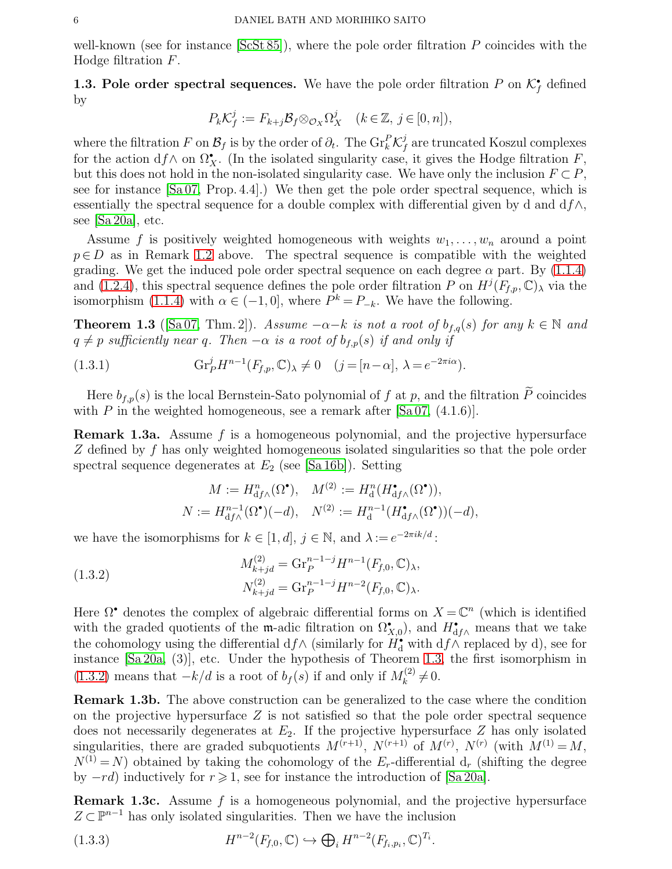well-known (see for instance  $[ScSt 85]$ ), where the pole order filtration P coincides with the Hodge filtration F.

<span id="page-5-2"></span>**1.3. Pole order spectral sequences.** We have the pole order filtration P on  $\mathcal{K}_{f}^{\bullet}$  defined by

$$
P_k \mathcal{K}_f^j := F_{k+j} \mathcal{B}_f \otimes_{\mathcal{O}_X} \Omega_X^j \quad (k \in \mathbb{Z}, \ j \in [0, n]),
$$

where the filtration F on  $\mathcal{B}_f$  is by the order of  $\partial_t$ . The  $\mathrm{Gr}_k^P \mathcal{K}_f^j$  $\frac{J}{f}$  are truncated Koszul complexes for the action  $df \wedge$  on  $\Omega^{\bullet}_X$ . (In the isolated singularity case, it gives the Hodge filtration F, but this does not hold in the non-isolated singularity case. We have only the inclusion  $F \subset P$ , see for instance [\[Sa 07,](#page-21-4) Prop. 4.4].) We then get the pole order spectral sequence, which is essentially the spectral sequence for a double complex with differential given by d and  $df\wedge$ , see [\[Sa 20a\]](#page-21-9), etc.

Assume f is positively weighted homogeneous with weights  $w_1, \ldots, w_n$  around a point  $p \in D$  as in Remark [1.2](#page-4-4) above. The spectral sequence is compatible with the weighted grading. We get the induced pole order spectral sequence on each degree  $\alpha$  part. By [\(1.1.4\)](#page-4-3) and [\(1.2.4\)](#page-4-5), this spectral sequence defines the pole order filtration P on  $H^j(F_{f,p}, \mathbb{C})_\lambda$  via the isomorphism [\(1.1.4\)](#page-4-3) with  $\alpha \in (-1,0]$ , where  $P^k = P_{-k}$ . We have the following.

<span id="page-5-0"></span>**Theorem 1.3** ([\[Sa 07,](#page-21-4) Thm. 2]). Assume  $-\alpha-k$  is not a root of  $b_{f,q}(s)$  for any  $k \in \mathbb{N}$  and  $q \neq p$  sufficiently near q. Then  $-\alpha$  is a root of  $b_{f,p}(s)$  if and only if

(1.3.1) 
$$
\mathrm{Gr}_P^j H^{n-1}(F_{f,p}, \mathbb{C})_\lambda \neq 0 \quad (j = [n-\alpha], \lambda = e^{-2\pi i \alpha}).
$$

Here  $b_{f,p}(s)$  is the local Bernstein-Sato polynomial of f at p, and the filtration  $\widetilde{P}$  coincides with P in the weighted homogeneous, see a remark after  $[Sa\,07, (4.1.6)].$ 

<span id="page-5-4"></span>**Remark 1.3a.** Assume f is a homogeneous polynomial, and the projective hypersurface Z defined by f has only weighted homogeneous isolated singularities so that the pole order spectral sequence degenerates at  $E_2$  (see [\[Sa 16b\]](#page-21-5)). Setting

<span id="page-5-3"></span>
$$
M := H^n_{\mathrm{d}f\wedge}(\Omega^\bullet), \quad M^{(2)} := H^n_{\mathrm{d}}(H^{\bullet}_{\mathrm{d}f\wedge}(\Omega^\bullet)),
$$
  

$$
N := H^{n-1}_{\mathrm{d}f\wedge}(\Omega^\bullet)(-d), \quad N^{(2)} := H^{n-1}_{\mathrm{d}}(H^{\bullet}_{\mathrm{d}f\wedge}(\Omega^\bullet))(-d),
$$

we have the isomorphisms for  $k \in [1, d], j \in \mathbb{N}$ , and  $\lambda := e^{-2\pi i k/d}$ :

(1.3.2)  
\n
$$
M_{k+jd}^{(2)} = \text{Gr}_P^{n-1-j} H^{n-1}(F_{f,0}, \mathbb{C})_\lambda,
$$
\n
$$
N_{k+jd}^{(2)} = \text{Gr}_P^{n-1-j} H^{n-2}(F_{f,0}, \mathbb{C})_\lambda.
$$

Here  $\Omega^{\bullet}$  denotes the complex of algebraic differential forms on  $X = \mathbb{C}^n$  (which is identified with the graded quotients of the m-adic filtration on  $\Omega_{X,0}^{\bullet}$ , and  $H_{df\wedge}^{\bullet}$  means that we take the cohomology using the differential  $df \wedge$  (similarly for  $H_d^{\bullet}$  with  $df \wedge$  replaced by d), see for instance [\[Sa 20a,](#page-21-9) (3)], etc. Under the hypothesis of Theorem [1.3,](#page-5-0) the first isomorphism in [\(1.3.2\)](#page-5-3) means that  $-k/d$  is a root of  $b_f(s)$  if and only if  $M_k^{(2)}$  $k^{(2)} \neq 0.$ 

<span id="page-5-5"></span>Remark 1.3b. The above construction can be generalized to the case where the condition on the projective hypersurface  $Z$  is not satisfied so that the pole order spectral sequence does not necessarily degenerates at  $E_2$ . If the projective hypersurface Z has only isolated singularities, there are graded subquotients  $M^{(r+1)}$ ,  $N^{(r+1)}$  of  $M^{(r)}$ ,  $N^{(r)}$  (with  $M^{(1)} = M$ ,  $N^{(1)} = N$ ) obtained by taking the cohomology of the  $E_r$ -differential d<sub>r</sub> (shifting the degree by  $-rd$ ) inductively for  $r \geqslant 1$ , see for instance the introduction of [\[Sa 20a\]](#page-21-9).

<span id="page-5-1"></span>Remark 1.3c. Assume f is a homogeneous polynomial, and the projective hypersurface  $Z \subset \mathbb{P}^{n-1}$  has only isolated singularities. Then we have the inclusion

(1.3.3) 
$$
H^{n-2}(F_{f,0},\mathbb{C}) \hookrightarrow \bigoplus_i H^{n-2}(F_{f_i,p_i},\mathbb{C})^{T_i}.
$$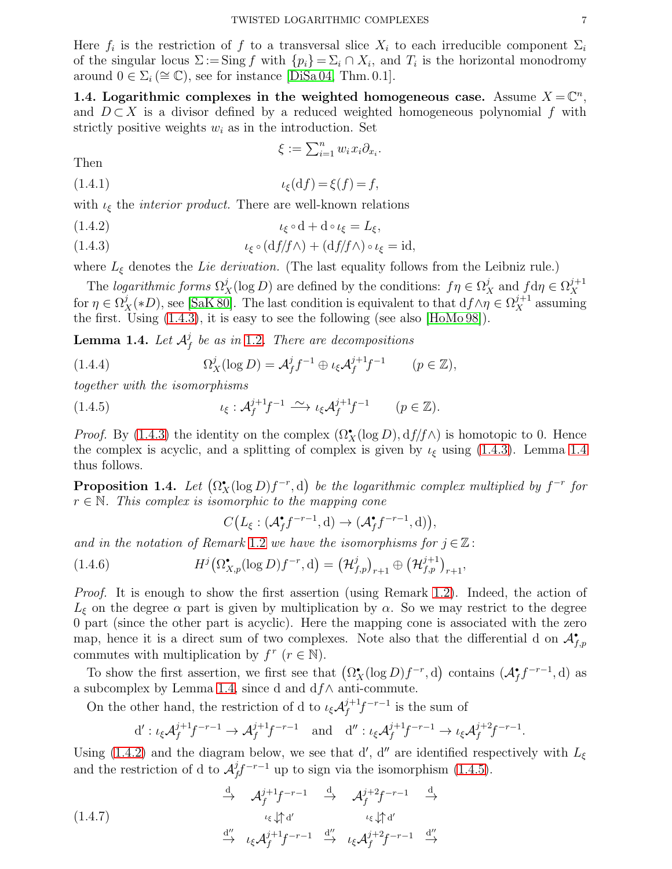Here  $f_i$  is the restriction of f to a transversal slice  $X_i$  to each irreducible component  $\Sigma_i$ of the singular locus  $\Sigma := \text{Sing } f$  with  $\{p_i\} = \Sigma_i \cap X_i$ , and  $T_i$  is the horizontal monodromy around  $0 \in \Sigma_i (\cong \mathbb{C})$ , see for instance [\[DiSa 04,](#page-20-15) Thm. 0.1].

<span id="page-6-1"></span>1.4. Logarithmic complexes in the weighted homogeneous case. Assume  $X = \mathbb{C}^n$ , and  $D \subset X$  is a divisor defined by a reduced weighted homogeneous polynomial f with strictly positive weights  $w_i$  as in the introduction. Set

<span id="page-6-2"></span>
$$
\xi := \sum_{i=1}^n w_i x_i \partial_{x_i}.
$$

Then

$$
(1.4.1) \qquad \qquad \iota_{\xi}(\mathrm{d}f) = \xi(f) = f,
$$

with  $\iota_{\xi}$  the *interior product*. There are well-known relations

<span id="page-6-3"></span>
$$
(\text{1.4.2}) \qquad \qquad \iota_{\xi} \circ \mathbf{d} + \mathbf{d} \circ \iota_{\xi} = L_{\xi},
$$

(1.4.3) 
$$
\iota_{\xi} \circ (\mathrm{d}f/f \wedge) + (\mathrm{d}f/f \wedge) \circ \iota_{\xi} = \mathrm{id},
$$

where  $L_{\xi}$  denotes the Lie derivation. (The last equality follows from the Leibniz rule.)

The logarithmic forms  $\Omega_X^j(\log D)$  are defined by the conditions:  $f\eta \in \Omega_X^j$  and  $f d\eta \in \Omega_X^{j+1}$  $\boldsymbol{X}$ for  $\eta \in \Omega_X^j(*D)$ , see [\[SaK 80\]](#page-20-0). The last condition is equivalent to that  $df \wedge \eta \in \Omega_X^{j+1}$  assuming the first. Using [\(1.4.3\)](#page-6-3), it is easy to see the following (see also [\[HoMo 98\]](#page-20-3)).

<span id="page-6-4"></span>Lemma 1.4. Let  $\mathcal{A}_t^j$  $\frac{\partial f}{\partial f}$  be as in [1.2](#page-4-0). There are decompositions

(1.4.4) 
$$
\Omega_X^j(\log D) = \mathcal{A}_f^j f^{-1} \oplus \iota_{\xi} \mathcal{A}_f^{j+1} f^{-1} \qquad (p \in \mathbb{Z}),
$$

together with the isomorphisms

(1.4.5) 
$$
\iota_{\xi}: \mathcal{A}_f^{j+1} f^{-1} \xrightarrow{\sim} \iota_{\xi} \mathcal{A}_f^{j+1} f^{-1} \qquad (p \in \mathbb{Z}).
$$

*Proof.* By [\(1.4.3\)](#page-6-3) the identity on the complex  $(\Omega_X^{\bullet}(\log D), df/f \wedge)$  is homotopic to 0. Hence the complex is acyclic, and a splitting of complex is given by  $\iota_{\xi}$  using [\(1.4.3\)](#page-6-3). Lemma [1.4](#page-6-4) thus follows.

<span id="page-6-0"></span>**Proposition 1.4.** Let  $(\Omega_X^{\bullet}(\log D)f^{-r}, d)$  be the logarithmic complex multiplied by  $f^{-r}$  for  $r \in \mathbb{N}$ . This complex is isomorphic to the mapping cone

<span id="page-6-6"></span><span id="page-6-5"></span>
$$
C\big(L_{\xi}:(\mathcal{A}_f^{\bullet}f^{-r-1},d)\to (\mathcal{A}_f^{\bullet}f^{-r-1},d)\big),
$$

and in the notation of Remark [1.2](#page-4-4) we have the isomorphisms for  $j \in \mathbb{Z}$ :

(1.4.6) 
$$
H^j\big(\Omega_{X,p}^{\bullet}(\log D)f^{-r},d\big)=\big(\mathcal{H}_{f,p}^j\big)_{r+1}\oplus\big(\mathcal{H}_{f,p}^{j+1}\big)_{r+1},
$$

*Proof.* It is enough to show the first assertion (using Remark [1.2\)](#page-4-4). Indeed, the action of  $L_{\xi}$  on the degree  $\alpha$  part is given by multiplication by  $\alpha$ . So we may restrict to the degree 0 part (since the other part is acyclic). Here the mapping cone is associated with the zero map, hence it is a direct sum of two complexes. Note also that the differential d on  $\mathcal{A}_{f,p}^{\bullet}$ commutes with multiplication by  $f^r$   $(r \in \mathbb{N})$ .

To show the first assertion, we first see that  $(\Omega_X^{\bullet}(\log D)f^{-r}, d)$  contains  $(\mathcal{A}_f^{\bullet}f^{-r-1}, d)$  as a subcomplex by Lemma [1.4,](#page-6-4) since d and  $df \wedge$  anti-commute.

On the other hand, the restriction of d to  $\iota_{\xi} \mathcal{A}_f^{j+1}$ .  $f^{j+1}f^{-r-1}$  is the sum of

$$
\mathrm{d}':\iota_{\xi}\mathcal{A}_f^{j+1}f^{-r-1}\to \mathcal{A}_f^{j+1}f^{-r-1}\quad\text{and}\quad \mathrm{d}'':\iota_{\xi}\mathcal{A}_f^{j+1}f^{-r-1}\to \iota_{\xi}\mathcal{A}_f^{j+2}f^{-r-1}.
$$

Using [\(1.4.2\)](#page-6-2) and the diagram below, we see that d', d'' are identified respectively with  $L_{\xi}$ and the restriction of d to  $\mathcal{A}^j_t$  $f^{j}f^{-r-1}$  up to sign via the isomorphism [\(1.4.5\)](#page-6-5).

$$
(1.4.7)
$$
\n
$$
\xrightarrow{\text{d}} \mathcal{A}_f^{j+1} f^{-r-1} \xrightarrow{\text{d}} \mathcal{A}_f^{j+2} f^{-r-1} \xrightarrow{\text{d}} (1.4.7)
$$
\n
$$
\xrightarrow{\text{d}} \iota_{\xi} \downarrow \uparrow \text{d}'
$$
\n
$$
\xrightarrow{\text{d}''} \iota_{\xi} \mathcal{A}_f^{j+1} f^{-r-1} \xrightarrow{\text{d}''} \iota_{\xi} \mathcal{A}_f^{j+2} f^{-r-1} \xrightarrow{\text{d}''}
$$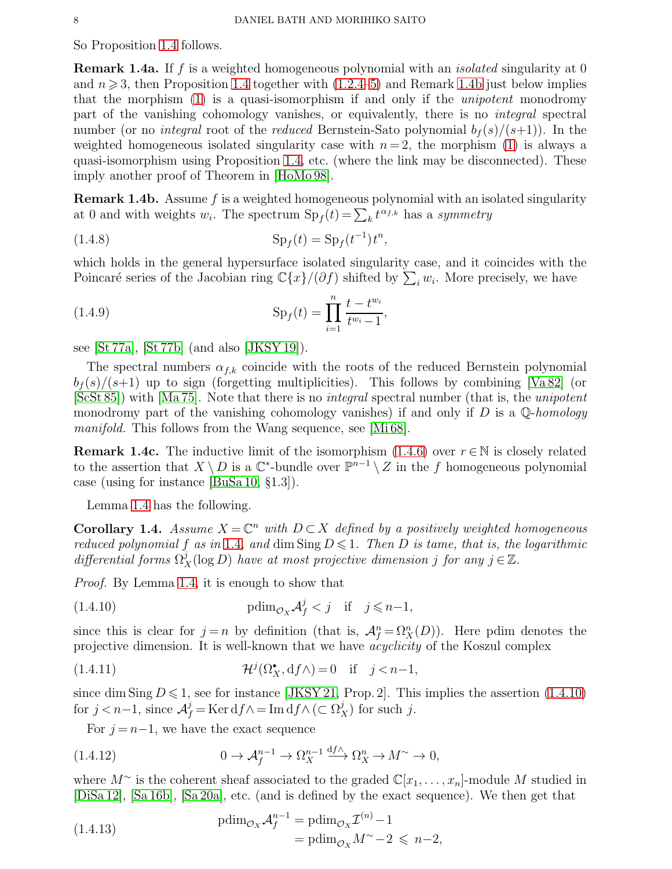<span id="page-7-0"></span>So Proposition [1.4](#page-6-0) follows.

**Remark 1.4a.** If f is a weighted homogeneous polynomial with an *isolated* singularity at 0 and  $n \geqslant 3$ , then Proposition [1.4](#page-6-0) together with  $(1.2.4-5)$  $(1.2.4-5)$  and Remark [1.4b](#page-7-1) just below implies that the morphism [\(1\)](#page-0-0) is a quasi-isomorphism if and only if the unipotent monodromy part of the vanishing cohomology vanishes, or equivalently, there is no integral spectral number (or no *integral* root of the *reduced* Bernstein-Sato polynomial  $b_f(s)/(s+1)$ ). In the weighted homogeneous isolated singularity case with  $n = 2$ , the morphism [\(1\)](#page-0-0) is always a quasi-isomorphism using Proposition [1.4,](#page-6-0) etc. (where the link may be disconnected). These imply another proof of Theorem in [\[HoMo 98\]](#page-20-3).

<span id="page-7-1"></span>**Remark 1.4b.** Assume  $f$  is a weighted homogeneous polynomial with an isolated singularity at 0 and with weights  $w_i$ . The spectrum  $\text{Sp}_f(t) = \sum_k t^{\alpha_{f,k}}$  has a symmetry

(1.4.8) 
$$
Sp_f(t) = Sp_f(t^{-1})t^n,
$$

which holds in the general hypersurface isolated singularity case, and it coincides with the Poincaré series of the Jacobian ring  $\mathbb{C}\{x\}/(\partial f)$  shifted by  $\sum_i w_i$ . More precisely, we have

(1.4.9) 
$$
\mathrm{Sp}_f(t) = \prod_{i=1}^n \frac{t - t^{w_i}}{t^{w_i} - 1},
$$

see [\[St 77a\]](#page-21-11), [\[St 77b\]](#page-21-12) (and also [\[JKSY 19\]](#page-20-21)).

The spectral numbers  $\alpha_{f,k}$  coincide with the roots of the reduced Bernstein polynomial  $b_f(s)/(s+1)$  up to sign (forgetting multiplicities). This follows by combining [\[Va 82\]](#page-21-13) (or  $[ScSt 85]$ ) with  $[Ma 75]$ . Note that there is no *integral* spectral number (that is, the *unipotent* monodromy part of the vanishing cohomology vanishes) if and only if D is a  $\mathbb{Q}$ -homology manifold. This follows from the Wang sequence, see [\[Mi 68\]](#page-20-23).

**Remark 1.4c.** The inductive limit of the isomorphism [\(1.4.6\)](#page-6-6) over  $r \in \mathbb{N}$  is closely related to the assertion that  $X \setminus D$  is a  $\mathbb{C}^*$ -bundle over  $\mathbb{P}^{n-1} \setminus Z$  in the f homogeneous polynomial case (using for instance [\[BuSa 10,](#page-20-24) §1.3]).

Lemma [1.4](#page-6-4) has the following.

<span id="page-7-3"></span>**Corollary 1.4.** Assume  $X = \mathbb{C}^n$  with  $D \subset X$  defined by a positively weighted homogeneous reduced polynomial f as in [1.4](#page-6-1), and dim Sing  $D \leq 1$ . Then D is tame, that is, the logarithmic differential forms  $\Omega_X^j(\log D)$  have at most projective dimension j for any  $j \in \mathbb{Z}$ .

<span id="page-7-2"></span>Proof. By Lemma [1.4,](#page-6-4) it is enough to show that

(1.4.10) 
$$
\text{pdim}_{\mathcal{O}_X} \mathcal{A}_f^j < j \quad \text{if} \quad j \leq n-1,
$$

since this is clear for  $j = n$  by definition (that is,  $\mathcal{A}_{f}^{n} = \Omega_{X}^{n}(D)$ ). Here pdim denotes the projective dimension. It is well-known that we have acyclicity of the Koszul complex

(1.4.11) 
$$
\mathcal{H}^j(\Omega_X^{\bullet}, \mathrm{d} f \wedge) = 0 \quad \text{if} \quad j < n-1,
$$

since dim Sing  $D \le 1$ , see for instance [\[JKSY 21,](#page-20-16) Prop. 2]. This implies the assertion [\(1.4.10\)](#page-7-2) for  $j < n-1$ , since  $\mathcal{A}_f^j = \text{Ker} \, df \wedge = \text{Im} \, df \wedge (\subset \Omega_X^j)$  for such j.

For  $j = n-1$ , we have the exact sequence

(1.4.12) 
$$
0 \to \mathcal{A}_f^{n-1} \to \Omega_X^{n-1} \xrightarrow{df \wedge} \Omega_X^n \to M^\sim \to 0,
$$

where  $M^{\sim}$  is the coherent sheaf associated to the graded  $\mathbb{C}[x_1, \ldots, x_n]$ -module M studied in [\[DiSa 12\]](#page-20-13), [\[Sa 16b\]](#page-21-5), [\[Sa 20a\]](#page-21-9), etc. (and is defined by the exact sequence). We then get that

(1.4.13) 
$$
\begin{aligned} \text{pdim}_{\mathcal{O}_X} \mathcal{A}_f^{n-1} &= \text{pdim}_{\mathcal{O}_X} \mathcal{I}^{(n)} - 1 \\ &= \text{pdim}_{\mathcal{O}_X} M^\sim - 2 \leqslant n - 2, \end{aligned}
$$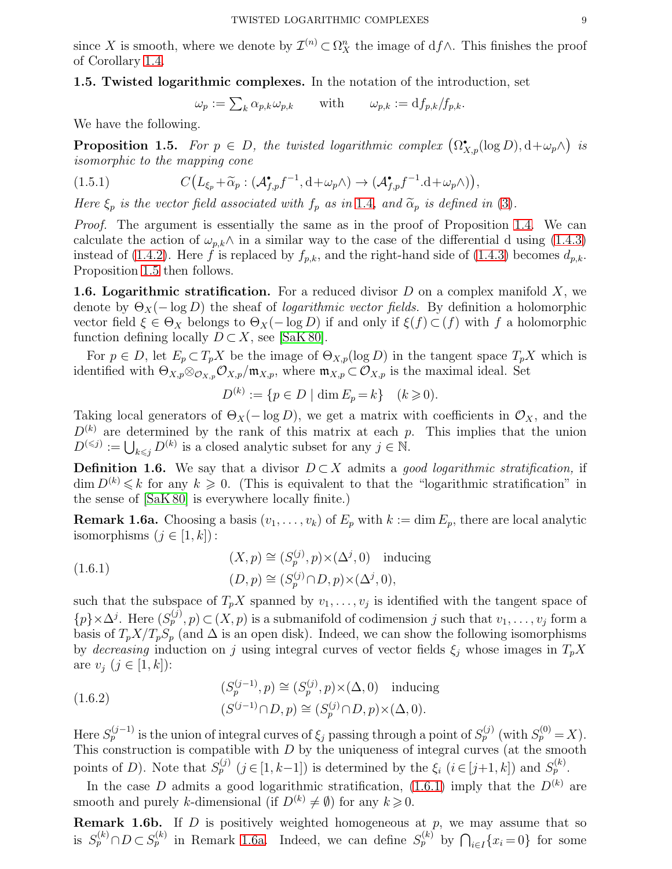since X is smooth, where we denote by  $\mathcal{I}^{(n)} \subset \Omega_X^n$  the image of  $df \wedge$ . This finishes the proof of Corollary [1.4.](#page-7-3)

1.5. Twisted logarithmic complexes. In the notation of the introduction, set

 $\omega_p := \sum_k \alpha_{p,k} \omega_{p,k}$  with  $\omega_{p,k} := df_{p,k}/f_{p,k}.$ 

We have the following.

<span id="page-8-1"></span>**Proposition 1.5.** For  $p \in D$ , the twisted logarithmic complex  $(\Omega_{X,p}^{\bullet}(\log D), d + \omega_p \wedge)$  is isomorphic to the mapping cone

(1.5.1) 
$$
C\big(L_{\xi_p} + \widetilde{\alpha}_p : (\mathcal{A}_{f,p}^{\bullet} f^{-1}, \mathrm{d} + \omega_p \wedge) \to (\mathcal{A}_{f,p}^{\bullet} f^{-1}.\mathrm{d} + \omega_p \wedge)\big),
$$

Here  $\xi_p$  is the vector field associated with  $f_p$  as in [1.4](#page-6-1), and  $\tilde{\alpha}_p$  is defined in [\(3\)](#page-1-2).

*Proof.* The argument is essentially the same as in the proof of Proposition [1.4.](#page-6-0) We can calculate the action of  $\omega_{p,k} \wedge$  in a similar way to the case of the differential d using [\(1.4.3\)](#page-6-3) instead of [\(1.4.2\)](#page-6-2). Here f is replaced by  $f_{p,k}$ , and the right-hand side of [\(1.4.3\)](#page-6-3) becomes  $d_{p,k}$ . Proposition [1.5](#page-8-1) then follows.

<span id="page-8-0"></span>**1.6. Logarithmic stratification.** For a reduced divisor  $D$  on a complex manifold  $X$ , we denote by  $\Theta_X(-\log D)$  the sheaf of *logarithmic vector fields*. By definition a holomorphic vector field  $\xi \in \Theta_X$  belongs to  $\Theta_X(-\log D)$  if and only if  $\xi(f) \subset f$ ) with f a holomorphic function defining locally  $D \subset X$ , see [\[SaK 80\]](#page-20-0).

For  $p \in D$ , let  $E_p \subset T_p X$  be the image of  $\Theta_{X,p}(\log D)$  in the tangent space  $T_p X$  which is identified with  $\Theta_{X,p} \otimes_{\mathcal{O}_{X,p}} \mathcal{O}_{X,p}/\mathfrak{m}_{X,p}$ , where  $\mathfrak{m}_{X,p} \subset \mathcal{O}_{X,p}$  is the maximal ideal. Set

$$
D^{(k)} := \{ p \in D \mid \dim E_p = k \} \quad (k \geq 0).
$$

Taking local generators of  $\Theta_X(-\log D)$ , we get a matrix with coefficients in  $\mathcal{O}_X$ , and the  $D^{(k)}$  are determined by the rank of this matrix at each p. This implies that the union  $D^{(\leqslant j)} := \bigcup_{k \leqslant j} D^{(k)}$  is a closed analytic subset for any  $j \in \mathbb{N}$ .

**Definition 1.6.** We say that a divisor  $D \subset X$  admits a good logarithmic stratification, if  $\dim D^{(k)} \leq k$  for any  $k \geq 0$ . (This is equivalent to that the "logarithmic stratification" in the sense of [\[SaK 80\]](#page-20-0) is everywhere locally finite.)

<span id="page-8-2"></span>**Remark 1.6a.** Choosing a basis  $(v_1, \ldots, v_k)$  of  $E_p$  with  $k := \dim E_p$ , there are local analytic isomorphisms  $(j \in [1, k])$ :

<span id="page-8-4"></span>(1.6.1) 
$$
(X, p) \cong (S_p^{(j)}, p) \times (\Delta^j, 0) \text{ inducing}
$$

$$
(D, p) \cong (S_p^{(j)} \cap D, p) \times (\Delta^j, 0),
$$

such that the subspace of  $T_p X$  spanned by  $v_1, \ldots, v_j$  is identified with the tangent space of  $\{p\}\times\Delta^j$ . Here  $(S_p^{(j)}, p) \subset (X, p)$  is a submanifold of codimension j such that  $v_1, \ldots, v_j$  form a basis of  $T_pX/T_pS_p$  (and  $\Delta$  is an open disk). Indeed, we can show the following isomorphisms by decreasing induction on j using integral curves of vector fields  $\xi_j$  whose images in  $T_pX$ are  $v_j$   $(j \in [1, k])$ :

(1.6.2) 
$$
(S_p^{(j-1)}, p) \cong (S_p^{(j)}, p) \times (\Delta, 0) \text{ inducing}
$$

$$
(S^{(j-1)} \cap D, p) \cong (S_p^{(j)} \cap D, p) \times (\Delta, 0).
$$

Here  $S_p^{(j-1)}$  is the union of integral curves of  $\xi_j$  passing through a point of  $S_p^{(j)}$  (with  $S_p^{(0)} = X$ ). This construction is compatible with  $D$  by the uniqueness of integral curves (at the smooth points of D). Note that  $S_p^{(j)}$   $(j \in [1, k-1])$  is determined by the  $\xi_i$   $(i \in [j+1, k])$  and  $S_p^{(k)}$ .

In the case D admits a good logarithmic stratification, [\(1.6.1\)](#page-8-4) imply that the  $D^{(k)}$  are smooth and purely k-dimensional (if  $D^{(k)} \neq \emptyset$ ) for any  $k \geq 0$ .

<span id="page-8-3"></span>**Remark 1.6b.** If  $D$  is positively weighted homogeneous at  $p$ , we may assume that so is  $S_p^{(k)} \cap D \subset S_p^{(k)}$  in Remark [1.6a.](#page-8-2) Indeed, we can define  $S_p^{(k)}$  by  $\bigcap_{i \in I} \{x_i = 0\}$  for some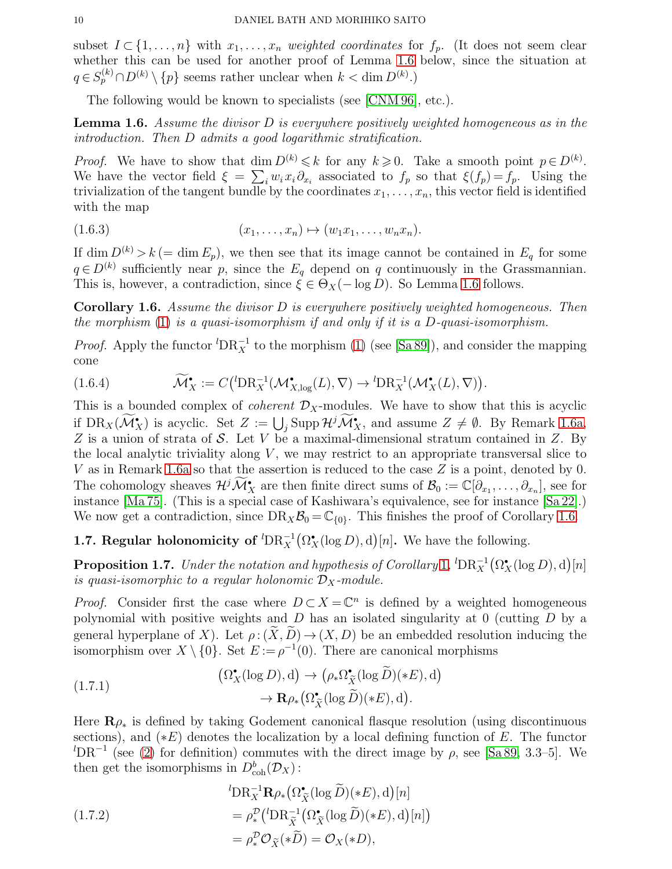subset  $I \subset \{1, \ldots, n\}$  with  $x_1, \ldots, x_n$  weighted coordinates for  $f_p$ . (It does not seem clear whether this can be used for another proof of Lemma [1.6](#page-9-2) below, since the situation at  $q \in S_p^{(k)} \cap D^{(k)} \setminus \{p\}$  seems rather unclear when  $k < \dim D^{(k)}$ .)

The following would be known to specialists (see [\[CNM 96\]](#page-20-2), etc.).

<span id="page-9-2"></span>**Lemma 1.6.** Assume the divisor  $D$  is everywhere positively weighted homogeneous as in the introduction. Then D admits a good logarithmic stratification.

*Proof.* We have to show that dim  $D^{(k)} \leq k$  for any  $k \geq 0$ . Take a smooth point  $p \in D^{(k)}$ . We have the vector field  $\xi = \sum_i w_i x_i \partial_{x_i}$  associated to  $f_p$  so that  $\xi(f_p) = f_p$ . Using the trivialization of the tangent bundle by the coordinates  $x_1, \ldots, x_n$ , this vector field is identified with the map

$$
(1.6.3) \t\t\t (x_1, \ldots, x_n) \mapsto (w_1 x_1, \ldots, w_n x_n).
$$

If dim  $D^{(k)} > k$  (= dim  $E_p$ ), we then see that its image cannot be contained in  $E_q$  for some  $q \in D^{(k)}$  sufficiently near p, since the  $E_q$  depend on q continuously in the Grassmannian. This is, however, a contradiction, since  $\xi \in \Theta_X(-\log D)$ . So Lemma [1.6](#page-9-2) follows.

<span id="page-9-0"></span>**Corollary 1.6.** Assume the divisor  $D$  is everywhere positively weighted homogeneous. Then the morphism  $(1)$  is a quasi-isomorphism if and only if it is a D-quasi-isomorphism.

*Proof.* Apply the functor  ${}^{l}DR_X^{-1}$  to the morphism [\(1\)](#page-0-0) (see [\[Sa 89\]](#page-20-7)), and consider the mapping cone

(1.6.4) 
$$
\widetilde{\mathcal{M}}_X^{\bullet} := C\left( {}^{l}DR_X^{-1}(\mathcal{M}_{X,\log}^{\bullet}(L), \nabla) \to {}^{l}DR_X^{-1}(\mathcal{M}_X^{\bullet}(L), \nabla) \right).
$$

This is a bounded complex of *coherent*  $\mathcal{D}_X$ -modules. We have to show that this is acyclic if  $DR_X(\widetilde{\mathcal{M}}^{\bullet}_X)$  is acyclic. Set  $Z := \bigcup_j \text{Supp } \mathcal{H}^j \widetilde{\mathcal{M}}^{\bullet}_X$ , and assume  $Z \neq \emptyset$ . By Remark [1.6a,](#page-8-2) Z is a union of strata of S. Let V be a maximal-dimensional stratum contained in Z. By the local analytic triviality along  $V$ , we may restrict to an appropriate transversal slice to V as in Remark [1.6a](#page-8-2) so that the assertion is reduced to the case Z is a point, denoted by 0. The cohomology sheaves  $\mathcal{H}^j \mathcal{M}^{\bullet}_X$  are then finite direct sums of  $\mathcal{B}_0 := \mathbb{C}[\partial_{x_1}, \dots, \partial_{x_n}],$  see for instance [\[Ma 75\]](#page-20-22). (This is a special case of Kashiwara's equivalence, see for instance [\[Sa 22\]](#page-21-14).) We now get a contradiction, since  $DR_X\mathcal{B}_0 = \mathbb{C}_{\{0\}}$ . This finishes the proof of Corollary [1.6.](#page-9-0)

# <span id="page-9-1"></span>**1.7. Regular holonomicity of**  ${}^{l}DR_X^{-1}(\Omega_X^{\bullet}(\log D), d)[n]$ . We have the following.

<span id="page-9-3"></span>**Proposition [1](#page-2-0).7.** Under the notation and hypothesis of Corollary 1,  ${}^{l}\text{DR}_X^{-1}(\Omega_X^{\bullet}(\log D), d)[n]$ is quasi-isomorphic to a regular holonomic  $\mathcal{D}_X$ -module.

*Proof.* Consider first the case where  $D \subset X = \mathbb{C}^n$  is defined by a weighted homogeneous polynomial with positive weights and  $D$  has an isolated singularity at 0 (cutting  $D$  by a general hyperplane of X). Let  $\rho: (\tilde{X}, \tilde{D}) \to (X, D)$  be an embedded resolution inducing the isomorphism over  $X \setminus \{0\}$ . Set  $E := \rho^{-1}(0)$ . There are canonical morphisms

(1.7.1) 
$$
(\Omega_X^{\bullet}(\log D), d) \to (\rho_* \Omega_X^{\bullet}(\log \widetilde{D})(*E), d) \to \mathbf{R}\rho_* (\Omega_X^{\bullet}(\log \widetilde{D})(*E), d).
$$

Here  $\mathbf{R}_{\rho_{*}}$  is defined by taking Godement canonical flasque resolution (using discontinuous sections), and  $(*E)$  denotes the localization by a local defining function of E. The functor  ${}^{l}DR^{-1}$  (see [\(2\)](#page-0-1) for definition) commutes with the direct image by  $\rho$ , see [\[Sa 89,](#page-20-7) 3.3–5]. We then get the isomorphisms in  $D^b_{\text{coh}}(\mathcal{D}_X)$ :

(1.7.2)  
\n
$$
{}^{l}\mathbf{DR}_{X}^{-1}\mathbf{R}\rho_{*}\big(\Omega_{\tilde{X}}^{\bullet}(\log \tilde{D})(*E), d\big)[n]
$$
\n
$$
= \rho_{*}^{\mathcal{D}}\big({}^{l}\mathbf{DR}_{\tilde{X}}^{-1}\big(\Omega_{\tilde{X}}^{\bullet}(\log \tilde{D})(*E), d\big)[n]\big)
$$
\n
$$
= \rho_{*}^{\mathcal{D}}\mathcal{O}_{\tilde{X}}(*\tilde{D}) = \mathcal{O}_{X}(*D),
$$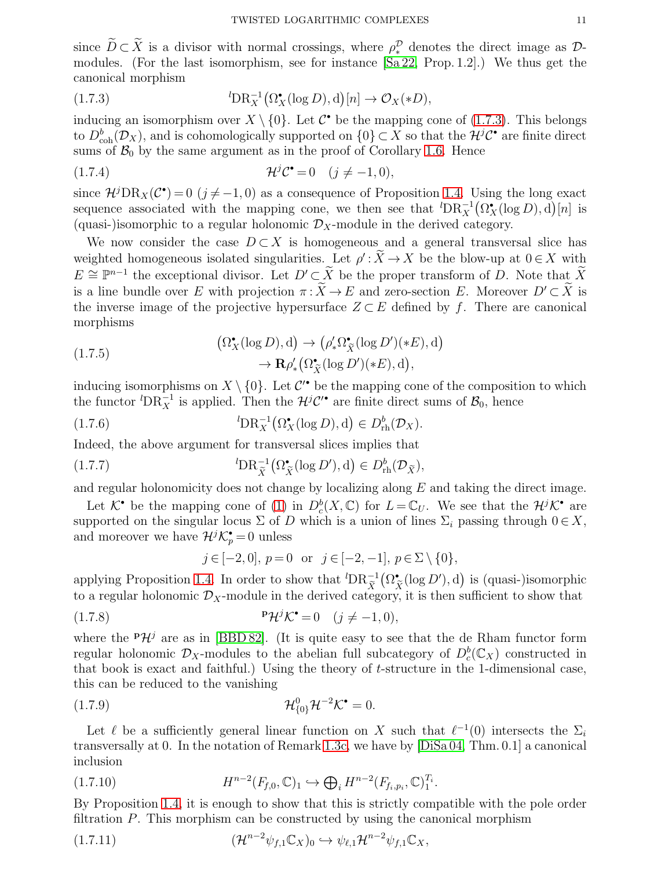since  $D \subset X$  is a divisor with normal crossings, where  $\rho_*^{\mathcal{D}}$  denotes the direct image as  $\mathcal{D}$ modules. (For the last isomorphism, see for instance [\[Sa 22,](#page-21-14) Prop. 1.2].) We thus get the canonical morphism

<span id="page-10-0"></span>(1.7.3) 
$$
{}^{l}\mathbf{DR}_{X}^{-1}(\Omega_{X}^{\bullet}(\log D),\mathrm{d})[n] \to \mathcal{O}_{X}(*D),
$$

inducing an isomorphism over  $X \setminus \{0\}$ . Let  $\mathcal{C}^{\bullet}$  be the mapping cone of [\(1.7.3\)](#page-10-0). This belongs to  $D^b_{\text{coh}}(\mathcal{D}_X)$ , and is cohomologically supported on  $\{0\} \subset X$  so that the  $\mathcal{H}^j\mathcal{C}^{\bullet}$  are finite direct sums of  $\mathcal{B}_0$  by the same argument as in the proof of Corollary [1.6.](#page-9-0) Hence

$$
(1.7.4) \t\t\t\t\mathcal{H}^j\mathcal{C}^\bullet = 0 \t\t(j \neq -1, 0),
$$

since  $\mathcal{H}^j\text{DR}_X(\mathcal{C}^{\bullet})=0$   $(j \neq -1,0)$  as a consequence of Proposition [1.4.](#page-7-3) Using the long exact sequence associated with the mapping cone, we then see that  ${}^{l}DR_{X}^{-1}(\Omega_{X}^{*}(\log D), d)[n]$  is (quasi-)isomorphic to a regular holonomic  $\mathcal{D}_X$ -module in the derived category.

We now consider the case  $D \subset X$  is homogeneous and a general transversal slice has weighted homogeneous isolated singularities. Let  $\rho' : \overline{X} \to X$  be the blow-up at  $0 \in X$  with  $E \cong \mathbb{P}^{n-1}$  the exceptional divisor. Let  $D' \subset \widetilde{X}$  be the proper transform of D. Note that  $\widetilde{X}$ is a line bundle over E with projection  $\pi : \widetilde{X} \to E$  and zero-section E. Moreover  $D' \subset \widetilde{X}$  is the inverse image of the projective hypersurface  $Z \subset E$  defined by f. There are canonical morphisms

(1.7.5)  
\n
$$
(\Omega_X^{\bullet}(\log D), d) \to (\rho'_* \Omega_{\widetilde{X}}^{\bullet}(\log D')(*E), d)
$$
\n
$$
\to \mathbf{R} \rho'_* (\Omega_{\widetilde{X}}^{\bullet}(\log D')(*E), d),
$$

inducing isomorphisms on  $X \setminus \{0\}$ . Let  $\mathcal{C}'^{\bullet}$  be the mapping cone of the composition to which the functor <sup>*l*</sup>DR<sub>X</sub><sup>-1</sup> is applied. Then the  $\mathcal{H}^j\mathcal{C}'^{\bullet}$  are finite direct sums of  $\mathcal{B}_0$ , hence

(1.7.6) 
$$
{}^{l}\mathbf{DR}_{X}^{-1}(\Omega_{X}^{\bullet}(\log D),\mathbf{d}) \in D_{\mathrm{rh}}^{b}(\mathcal{D}_{X}).
$$

Indeed, the above argument for transversal slices implies that

(1.7.7) 
$$
{}^{l}\mathbf{DR}_{\widetilde{X}}^{-1}(\Omega_{\widetilde{X}}^{\bullet}(\log D'),\mathrm{d}) \in D_{\mathrm{rh}}^{b}(\mathcal{D}_{\widetilde{X}}),
$$

and regular holonomicity does not change by localizing along  $E$  and taking the direct image.

Let  $K^{\bullet}$  be the mapping cone of [\(1\)](#page-0-0) in  $D_c^b(X, \mathbb{C})$  for  $L = \mathbb{C}_U$ . We see that the  $\mathcal{H}^j K^{\bullet}$  are supported on the singular locus  $\Sigma$  of D which is a union of lines  $\Sigma_i$  passing through  $0 \in X$ , and moreover we have  $\mathcal{H}^j \mathcal{K}_p^{\bullet} = 0$  unless

$$
j \in [-2, 0], p = 0
$$
 or  $j \in [-2, -1], p \in \Sigma \setminus \{0\},$ 

applying Proposition [1.4.](#page-6-0) In order to show that  ${}^{l}DR_{\tilde{X}}^{-1}$  $(\Omega^{\bullet}_{\widetilde{X}}(\log D'), d)$  is (quasi-)isomorphic to a regular holonomic  $\mathcal{D}_X$ -module in the derived category, it is then sufficient to show that

(1.7.8) 
$$
\mathbf{P}\mathcal{H}^j\mathcal{K}^{\bullet} = 0 \quad (j \neq -1, 0),
$$

where the  $P\mathcal{H}^j$  are as in [\[BBD 82\]](#page-20-25). (It is quite easy to see that the de Rham functor form regular holonomic  $\mathcal{D}_X$ -modules to the abelian full subcategory of  $D_c^b(\mathbb{C}_X)$  constructed in that book is exact and faithful.) Using the theory of  $t$ -structure in the 1-dimensional case, this can be reduced to the vanishing

$$
\mathcal{H}_{\{0\}}^0 \mathcal{H}^{-2} \mathcal{K}^\bullet = 0.
$$

Let  $\ell$  be a sufficiently general linear function on X such that  $\ell^{-1}(0)$  intersects the  $\Sigma_i$ transversally at 0. In the notation of Remark [1.3c,](#page-5-1) we have by [\[DiSa](#page-20-15) 04, Thm. 0.1] a canonical inclusion

$$
(1.7.10) \t\t H^{n-2}(F_{f,0},\mathbb{C})_1 \hookrightarrow \bigoplus_i H^{n-2}(F_{f_i,p_i},\mathbb{C})_1^{T_i}.
$$

By Proposition [1.4,](#page-6-0) it is enough to show that this is strictly compatible with the pole order filtration P. This morphism can be constructed by using the canonical morphism

$$
(1.7.11) \qquad (\mathcal{H}^{n-2}\psi_{f,1}\mathbb{C}_X)_0 \hookrightarrow \psi_{\ell,1}\mathcal{H}^{n-2}\psi_{f,1}\mathbb{C}_X,
$$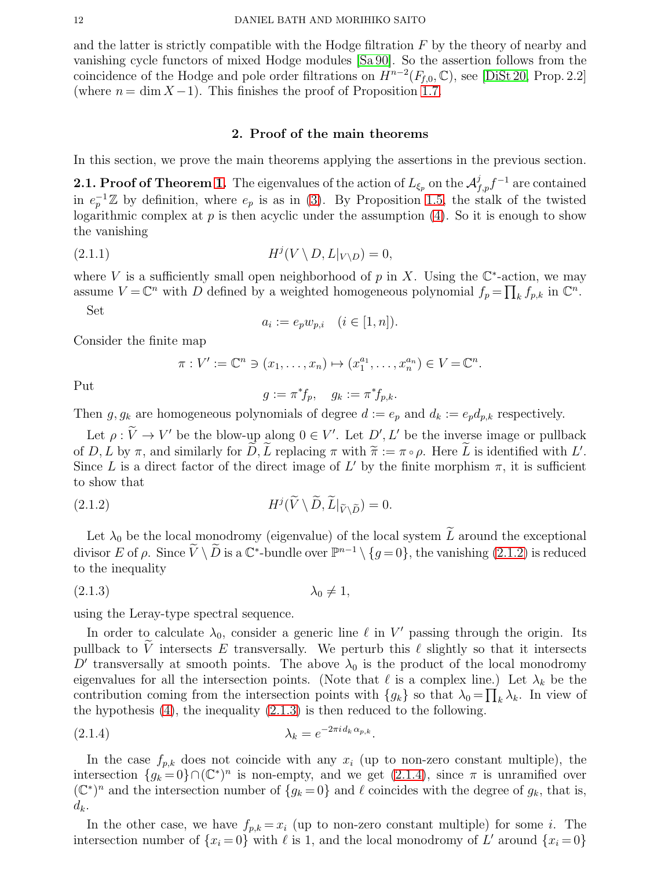and the latter is strictly compatible with the Hodge filtration  $F$  by the theory of nearby and vanishing cycle functors of mixed Hodge modules [\[Sa 90\]](#page-20-26). So the assertion follows from the coincidence of the Hodge and pole order filtrations on  $H^{n-2}(F_{f,0}, \mathbb{C})$ , see [\[DiSt 20,](#page-20-17) Prop. 2.2] (where  $n = \dim X - 1$ ). This finishes the proof of Proposition [1.7.](#page-9-3)

#### 2. Proof of the main theorems

<span id="page-11-1"></span>In this section, we prove the main theorems applying the assertions in the previous section.

<span id="page-11-0"></span>**2.1. Proof of Theorem [1.](#page-1-3)** The eigenvalues of the action of  $L_{\xi_p}$  on the  $\mathcal{A}_{f,p}^j f^{-1}$  are contained in  $e_p^{-1}\mathbb{Z}$  by definition, where  $e_p$  is as in [\(3\)](#page-1-2). By Proposition [1.5,](#page-8-1) the stalk of the twisted logarithmic complex at  $p$  is then acyclic under the assumption [\(4\)](#page-1-4). So it is enough to show the vanishing

$$
(2.1.1) \t\t Hj(V \setminus D, L|_{V \setminus D}) = 0,
$$

where V is a sufficiently small open neighborhood of p in X. Using the  $\mathbb{C}^*$ -action, we may assume  $V = \mathbb{C}^n$  with D defined by a weighted homogeneous polynomial  $f_p = \prod_k f_{p,k}$  in  $\mathbb{C}^n$ . Set

$$
a_i := e_p w_{p,i} \quad (i \in [1, n]).
$$

Consider the finite map

$$
\pi: V' := \mathbb{C}^n \ni (x_1, \dots, x_n) \mapsto (x_1^{a_1}, \dots, x_n^{a_n}) \in V = \mathbb{C}^n.
$$

Put

<span id="page-11-4"></span>
$$
g := \pi^* f_p, \quad g_k := \pi^* f_{p,k}.
$$

Then g,  $g_k$  are homogeneous polynomials of degree  $d := e_p$  and  $d_k := e_p d_{p,k}$  respectively.

Let  $\rho: V \to V'$  be the blow-up along  $0 \in V'$ . Let  $D', L'$  be the inverse image or pullback of D, L by  $\pi$ , and similarly for D, L replacing  $\pi$  with  $\widetilde{\pi} := \pi \circ \rho$ . Here L is identified with L'. Since L is a direct factor of the direct image of L' by the finite morphism  $\pi$ , it is sufficient to show that

<span id="page-11-2"></span>(2.1.2) 
$$
H^{j}(\widetilde{V} \setminus \widetilde{D}, \widetilde{L}|_{\widetilde{V} \setminus \widetilde{D}}) = 0.
$$

Let  $\lambda_0$  be the local monodromy (eigenvalue) of the local system  $\widetilde{L}$  around the exceptional divisor E of  $\rho$ . Since  $\tilde{V} \setminus \tilde{D}$  is a  $\mathbb{C}^*$ -bundle over  $\mathbb{P}^{n-1} \setminus \{g=0\}$ , the vanishing  $(2.1.2)$  is reduced to the inequality

<span id="page-11-3"></span>
$$
\lambda_0 \neq 1,
$$

using the Leray-type spectral sequence.

In order to calculate  $\lambda_0$ , consider a generic line  $\ell$  in  $V'$  passing through the origin. Its pullback to V intersects E transversally. We perturb this  $\ell$  slightly so that it intersects D' transversally at smooth points. The above  $\lambda_0$  is the product of the local monodromy eigenvalues for all the intersection points. (Note that  $\ell$  is a complex line.) Let  $\lambda_k$  be the contribution coming from the intersection points with  ${g_k}$  so that  $\lambda_0 = \prod_k' \lambda_k$ . In view of the hypothesis  $(4)$ , the inequality  $(2.1.3)$  is then reduced to the following.

$$
\lambda_k = e^{-2\pi i d_k \alpha_{p,k}}.
$$

In the case  $f_{p,k}$  does not coincide with any  $x_i$  (up to non-zero constant multiple), the intersection  $\{g_k=0\} \cap (\mathbb{C}^*)^n$  is non-empty, and we get  $(2.1.4)$ , since  $\pi$  is unramified over  $(\mathbb{C}^*)^n$  and the intersection number of  $\{g_k=0\}$  and  $\ell$  coincides with the degree of  $g_k$ , that is,  $d_k$ .

In the other case, we have  $f_{p,k} = x_i$  (up to non-zero constant multiple) for some *i*. The intersection number of  $\{x_i = 0\}$  with  $\ell$  is 1, and the local monodromy of L' around  $\{x_i = 0\}$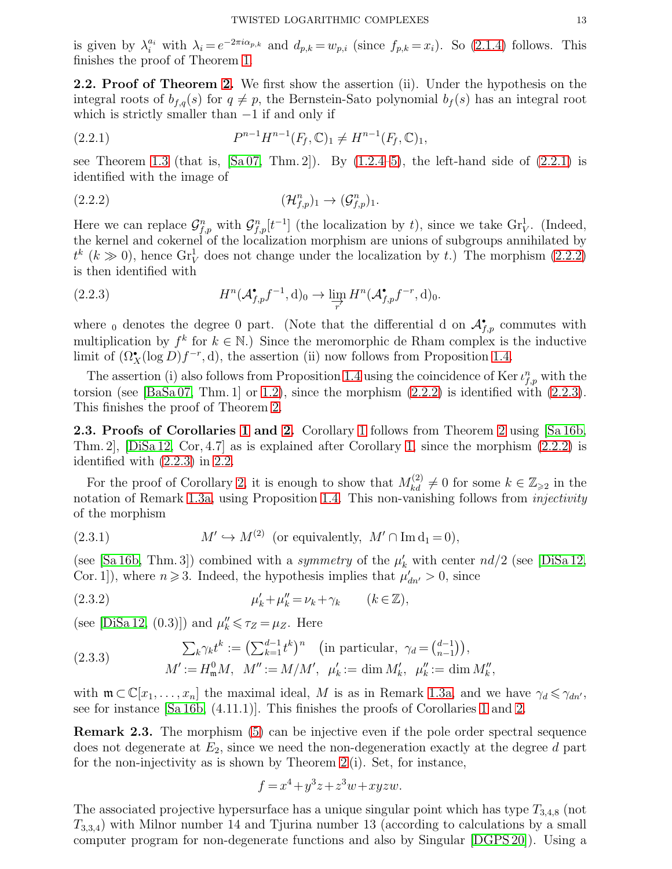is given by  $\lambda_i^{a_i}$  with  $\lambda_i = e^{-2\pi i \alpha_{p,k}}$  and  $d_{p,k} = w_{p,i}$  (since  $f_{p,k} = x_i$ ). So [\(2.1.4\)](#page-11-4) follows. This finishes the proof of Theorem [1.](#page-1-3)

<span id="page-12-0"></span>2.2. Proof of Theorem [2.](#page-1-1) We first show the assertion (ii). Under the hypothesis on the integral roots of  $b_{f,q}(s)$  for  $q \neq p$ , the Bernstein-Sato polynomial  $b_f(s)$  has an integral root which is strictly smaller than  $-1$  if and only if

<span id="page-12-3"></span>(2.2.1) 
$$
P^{n-1}H^{n-1}(F_f,\mathbb{C})_1 \neq H^{n-1}(F_f,\mathbb{C})_1,
$$

see Theorem [1.3](#page-5-0) (that is,  $[Sa\ 07, Thm. 2]$ ). By  $(1.2.4-5)$ , the left-hand side of  $(2.2.1)$  is identified with the image of

<span id="page-12-4"></span>
$$
(\mathcal{H}_{f,p}^n)_1 \to (\mathcal{G}_{f,p}^n)_1.
$$

Here we can replace  $\mathcal{G}_{f,p}^n$  with  $\mathcal{G}_{f,p}^n[t^{-1}]$  (the localization by t), since we take  $\mathrm{Gr}_V^1$ . (Indeed, the kernel and cokernel of the localization morphism are unions of subgroups annihilated by  $t^k$  ( $k \gg 0$ ), hence  $\text{Gr}^1_V$  does not change under the localization by t.) The morphism [\(2.2.2\)](#page-12-4) is then identified with

<span id="page-12-5"></span>(2.2.3) 
$$
H^n(\mathcal{A}_{f,p}^{\bullet}f^{-1},d)_0 \to \varinjlim_{r'} H^n(\mathcal{A}_{f,p}^{\bullet}f^{-r},d)_0.
$$

where <sub>0</sub> denotes the degree 0 part. (Note that the differential d on  $\mathcal{A}_{f,p}^{\bullet}$  commutes with multiplication by  $f^k$  for  $k \in \mathbb{N}$ .) Since the meromorphic de Rham complex is the inductive limit of  $(\Omega_X^{\bullet}(\log D)f^{-r}, d)$ , the assertion (ii) now follows from Proposition [1.4.](#page-6-0)

The assertion (i) also follows from Proposition [1.4](#page-6-0) using the coincidence of Ker $\iota_{f,p}^n$  with the torsion (see [\[BaSa 07,](#page-20-11) Thm. 1] or [1.2\)](#page-4-0), since the morphism  $(2.2.2)$  is identified with  $(2.2.3)$ . This finishes the proof of Theorem [2.](#page-1-1)

2.3. Proofs of Corollaries [1](#page-2-0) and [2.](#page-3-0) Corollary 1 follows from Theorem [2](#page-1-1) using [\[Sa 16b,](#page-21-5) Thm. 2], [\[DiSa 12,](#page-20-13) Cor, 4.7] as is explained after Corollary [1,](#page-2-0) since the morphism [\(2.2.2\)](#page-12-4) is identified with [\(2.2.3\)](#page-12-5) in [2.2.](#page-12-0)

For the proof of Corollary [2,](#page-3-0) it is enough to show that  $M_{kd}^{(2)} \neq 0$  for some  $k \in \mathbb{Z}_{\geqslant 2}$  in the notation of Remark [1.3a,](#page-5-4) using Proposition [1.4.](#page-6-0) This non-vanishing follows from *injectivity* of the morphism

<span id="page-12-6"></span>(2.3.1) 
$$
M' \hookrightarrow M^{(2)} \text{ (or equivalently, } M' \cap \text{Im } d_1 = 0),
$$

(see [\[Sa 16b,](#page-21-5) Thm. 3]) combined with a *symmetry* of the  $\mu'_{k}$  with center  $nd/2$  (see [\[DiSa 12,](#page-20-13) Cor. 1]), where  $n \ge 3$ . Indeed, the hypothesis implies that  $\mu'_{dn'} > 0$ , since

$$
\mu'_k + \mu''_k = \nu_k + \gamma_k \qquad (k \in \mathbb{Z}),
$$

(see [\[DiSa 12,](#page-20-13) (0.3)]) and  $\mu_k'' \leq \tau_Z = \mu_Z$ . Here

(2.3.3) 
$$
\sum_{k} \gamma_{k} t^{k} := \left( \sum_{k=1}^{d-1} t^{k} \right)^{n} \text{ (in particular, } \gamma_{d} = \binom{d-1}{n-1},
$$

$$
M' := H_{\mathfrak{m}}^{0} M, \quad M'' := M/M', \quad \mu'_{k} := \dim M'_{k}, \quad \mu''_{k} := \dim M''_{k},
$$

with  $\mathfrak{m} \subset \mathbb{C}[x_1,\ldots,x_n]$  the maximal ideal, M is as in Remark [1.3a,](#page-5-4) and we have  $\gamma_d \leq \gamma_{dn'}$ , see for instance [\[Sa 16b,](#page-21-5) (4.11.1)]. This finishes the proofs of Corollaries [1](#page-2-0) and [2.](#page-3-0)

<span id="page-12-2"></span>Remark 2.3. The morphism [\(5\)](#page-1-0) can be injective even if the pole order spectral sequence does not degenerate at  $E_2$ , since we need the non-degeneration exactly at the degree d part for the non-injectivity as is shown by Theorem [2](#page-1-1) (i). Set, for instance,

<span id="page-12-1"></span>
$$
f = x^4 + y^3z + z^3w + xyzw.
$$

The associated projective hypersurface has a unique singular point which has type  $T_{3,4,8}$  (not  $T_{3,3,4}$ ) with Milnor number 14 and Tjurina number 13 (according to calculations by a small computer program for non-degenerate functions and also by Singular [\[DGPS 20\]](#page-20-27)). Using a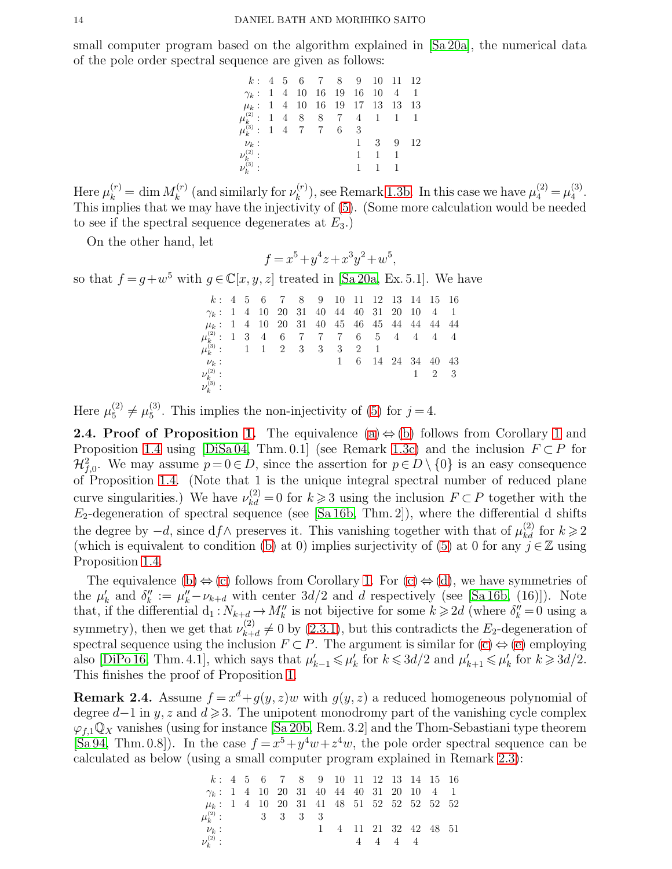small computer program based on the algorithm explained in [\[Sa 20a\]](#page-21-9), the numerical data of the pole order spectral sequence are given as follows:

| $k: 4 \quad 5 \quad 6 \quad 7 \quad 8 \quad 9 \quad 10 \quad 11 \quad 12$      |  |
|--------------------------------------------------------------------------------|--|
| $\gamma_k$ : 1 4 10 16 19 16 10 4 1                                            |  |
| $\mu_k$ : 1 4 10 16 19 17 13 13 13                                             |  |
| $\mu_k^{(2)}$ : 1 4 8 8 7 4 1 1 1                                              |  |
| $\mu_k^{(3)}:$ 1 4 7 7 6 3                                                     |  |
| 1 3 9 12<br>$\nu_k:$                                                           |  |
| $\nu_k^{_{(2)}}$ :<br>$\mathbf{1}$<br>$\begin{array}{ccc} & 1 & 1 \end{array}$ |  |
| $\nu_k^{(3)}$ :<br>$-1$ $-1$                                                   |  |

Here  $\mu_k^{(r)} = \dim M_k^{(r)}$  $\mu_k^{(r)}$  (and similarly for  $\nu_k^{(r)}$  $\mu_k^{(r)}$ ), see Remark [1.3b.](#page-5-5) In this case we have  $\mu_4^{(2)} = \mu_4^{(3)}$  $\frac{5}{4}$ . This implies that we may have the injectivity of [\(5\)](#page-1-0). (Some more calculation would be needed to see if the spectral sequence degenerates at  $E_3$ .)

On the other hand, let

$$
f = x^5 + y^4 z + x^3 y^2 + w^5,
$$

so that  $f = g + w^5$  with  $g \in \mathbb{C}[x, y, z]$  treated in [\[Sa 20a,](#page-21-9) Ex. 5.1]. We have

|                                                 |  |  |  |  |  | $k: 4 \quad 5 \quad 6 \quad 7 \quad 8 \quad 9 \quad 10 \quad 11 \quad 12 \quad 13 \quad 14 \quad 15 \quad 16$ |             |  |
|-------------------------------------------------|--|--|--|--|--|---------------------------------------------------------------------------------------------------------------|-------------|--|
| $\gamma_k$ : 1 4 10 20 31 40 44 40 31 20 10 4 1 |  |  |  |  |  |                                                                                                               |             |  |
| $\mu_k$ : 1 4 10 20 31 40 45 46 45 44 44 44 44  |  |  |  |  |  |                                                                                                               |             |  |
| $\mu_k^{(2)}$ : 1 3 4 6 7 7 7 6 5 4 4 4 4       |  |  |  |  |  |                                                                                                               |             |  |
| $\mu_k^{(3)}$ : 1 1 2 3 3 3 2 1                 |  |  |  |  |  |                                                                                                               |             |  |
| $\nu_k$ :                                       |  |  |  |  |  | 1 6 14 24 34 40 43                                                                                            |             |  |
| $\frac{\nu_k^{(2)}}{\nu_k^{(3)}}$ :             |  |  |  |  |  |                                                                                                               | $1 \t2 \t3$ |  |
|                                                 |  |  |  |  |  |                                                                                                               |             |  |

Here  $\mu_5^{(2)} \neq \mu_5^{(3)}$  $_5^{(5)}$ . This implies the non-injectivity of [\(5\)](#page-1-0) for  $j = 4$ .

<span id="page-13-0"></span>**2.4. Proof of Proposition [1.](#page-2-1)** The equivalence [\(a\)](#page-2-2)  $\Leftrightarrow$  [\(b\)](#page-2-3) follows from Corollary [1](#page-2-0) and Proposition [1.4](#page-6-0) using [\[DiSa 04,](#page-20-15) Thm. 0.1] (see Remark [1.3c\)](#page-5-1) and the inclusion  $F \subset P$  for  $\mathcal{H}_{f,0}^2$ . We may assume  $p=0 \in D$ , since the assertion for  $p \in D \setminus \{0\}$  is an easy consequence of Proposition [1.4.](#page-6-0) (Note that 1 is the unique integral spectral number of reduced plane curve singularities.) We have  $\nu_{kd}^{(2)} = 0$  for  $k \geq 3$  using the inclusion  $F \subset P$  together with the  $E_2$ -degeneration of spectral sequence (see [\[Sa 16b,](#page-21-5) Thm. 2]), where the differential d shifts the degree by  $-d$ , since  $df \wedge$  preserves it. This vanishing together with that of  $\mu_{kd}^{(2)}$  for  $k \geq 2$ (which is equivalent to condition [\(b\)](#page-2-3) at 0) implies surjectivity of [\(5\)](#page-1-0) at 0 for any  $j \in \mathbb{Z}$  using Proposition [1.4.](#page-6-0)

The equivalence [\(b\)](#page-2-3)  $\Leftrightarrow$  [\(c\)](#page-2-4) follows from Corollary [1.](#page-2-0) For [\(c\)](#page-2-4)  $\Leftrightarrow$  [\(d\)](#page-2-5), we have symmetries of the  $\mu'_k$  and  $\delta''_k := \mu''_k - \nu_{k+d}$  with center  $3d/2$  and d respectively (see [\[Sa 16b,](#page-21-5) (16)]). Note that, if the differential  $d_1: N_{k+d} \to M''_k$  is not bijective for some  $k \geq 2d$  (where  $\delta''_k = 0$  using a symmetry), then we get that  $\nu_{k+1}^{(2)}$  $k+d \neq 0$  by  $(2.3.1)$ , but this contradicts the  $E_2$ -degeneration of spectral sequence using the inclusion  $F \subset P$ . The argument is similar for  $(c) \Leftrightarrow (e)$  $(c) \Leftrightarrow (e)$  employing also [\[DiPo 16,](#page-20-20) Thm. 4.1], which says that  $\mu'_{k-1} \leq \mu'_{k}$  for  $k \leq 3d/2$  and  $\mu'_{k+1} \leq \mu'_{k}$  for  $k \geq 3d/2$ . This finishes the proof of Proposition [1.](#page-2-1)

<span id="page-13-1"></span>**Remark 2.4.** Assume  $f = x^d + g(y, z)w$  with  $g(y, z)$  a reduced homogeneous polynomial of degree  $d-1$  in y, z and  $d \geq 3$ . The unipotent monodromy part of the vanishing cycle complex  $\varphi_{f,1}\mathbb{Q}_X$  vanishes (using for instance [\[Sa 20b,](#page-21-6) Rem. 3.2] and the Thom-Sebastiani type theorem [\[Sa 94,](#page-20-18) Thm. 0.8]). In the case  $f = x^5 + y^4w + z^4w$ , the pole order spectral sequence can be calculated as below (using a small computer program explained in Remark [2.3\)](#page-12-2):

|                                                 |  |  | $k: 4 \quad 5 \quad 6 \quad 7 \quad 8 \quad 9 \quad 10 \quad 11 \quad 12 \quad 13 \quad 14 \quad 15 \quad 16$ |                       |                     |  |  |
|-------------------------------------------------|--|--|---------------------------------------------------------------------------------------------------------------|-----------------------|---------------------|--|--|
| $\gamma_k$ : 1 4 10 20 31 40 44 40 31 20 10 4 1 |  |  |                                                                                                               |                       |                     |  |  |
| $\mu_k$ : 1 4 10 20 31 41 48 51 52 52 52 52 52  |  |  |                                                                                                               |                       |                     |  |  |
| $\mu_k^{(2)}$ : 3 3 3 3                         |  |  |                                                                                                               |                       |                     |  |  |
| $\nu_k$ :                                       |  |  |                                                                                                               | 1 4 11 21 32 42 48 51 |                     |  |  |
| $\nu_k^{(2)}$ :                                 |  |  |                                                                                                               |                       | $4 \t4 \t4 \t4 \t4$ |  |  |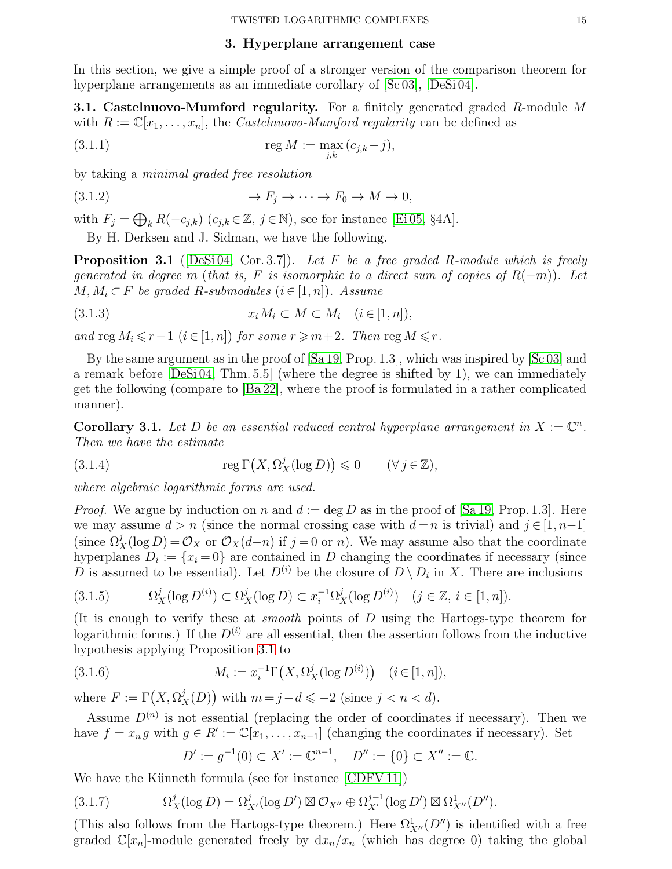### <span id="page-14-5"></span>3. Hyperplane arrangement case

<span id="page-14-0"></span>In this section, we give a simple proof of a stronger version of the comparison theorem for hyperplane arrangements as an immediate corollary of  $[Sc 03]$ ,  $[DeSi 04]$ .

**3.1. Castelnuovo-Mumford regularity.** For a finitely generated graded  $R$ -module M with  $R := \mathbb{C}[x_1, \ldots, x_n]$ , the *Castelnuovo-Mumford regularity* can be defined as

(3.1.1) 
$$
\operatorname{reg} M := \max_{j,k} (c_{j,k} - j),
$$

by taking a minimal graded free resolution

(3.1.2) → F<sup>j</sup> → · · · → F<sup>0</sup> → M → 0,

with  $F_j = \bigoplus_k R(-c_{j,k})$   $(c_{j,k} \in \mathbb{Z}, j \in \mathbb{N})$ , see for instance [\[Ei 05,](#page-20-28) §4A].

By H. Derksen and J. Sidman, we have the following.

<span id="page-14-2"></span>**Proposition 3.1** ([\[DeSi 04,](#page-20-8) Cor. 3.7]). Let F be a free graded R-module which is freely generated in degree m (that is, F is isomorphic to a direct sum of copies of  $R(-m)$ ). Let  $M, M_i \subset F$  be graded R-submodules  $(i \in [1, n])$ . Assume

$$
(3.1.3) \t\t x_i M_i \subset M \subset M_i \quad (i \in [1, n]),
$$

and reg  $M_i \leq r-1$  ( $i \in [1, n]$ ) for some  $r \geq m+2$ . Then reg  $M \leq r$ .

By the same argument as in the proof of [\[Sa 19,](#page-21-3) Prop. 1.3], which was inspired by [\[Sc 03\]](#page-21-2) and a remark before [\[DeSi 04,](#page-20-8) Thm. 5.5] (where the degree is shifted by 1), we can immediately get the following (compare to [\[Ba 22\]](#page-20-5), where the proof is formulated in a rather complicated manner).

<span id="page-14-1"></span>**Corollary 3.1.** Let D be an essential reduced central hyperplane arrangement in  $X := \mathbb{C}^n$ . Then we have the estimate

<span id="page-14-3"></span>(3.1.4) 
$$
\operatorname{reg} \Gamma\big(X, \Omega^j_X(\log D)\big) \leq 0 \qquad (\forall j \in \mathbb{Z}),
$$

where algebraic logarithmic forms are used.

*Proof.* We argue by induction on n and  $d := \deg D$  as in the proof of [\[Sa 19,](#page-21-3) Prop. 1.3]. Here we may assume  $d > n$  (since the normal crossing case with  $d = n$  is trivial) and  $j \in [1, n-1]$ (since  $\Omega_X^j(\log D) = \mathcal{O}_X$  or  $\mathcal{O}_X(d-n)$  if  $j=0$  or n). We may assume also that the coordinate hyperplanes  $D_i := \{x_i = 0\}$  are contained in D changing the coordinates if necessary (since D is assumed to be essential). Let  $D^{(i)}$  be the closure of  $D \setminus D_i$  in X. There are inclusions

$$
(3.1.5) \t\Omega_X^j(\log D^{(i)}) \subset \Omega_X^j(\log D) \subset x_i^{-1} \Omega_X^j(\log D^{(i)}) \quad (j \in \mathbb{Z}, \ i \in [1, n]).
$$

(It is enough to verify these at *smooth* points of  $D$  using the Hartogs-type theorem for logarithmic forms.) If the  $D^{(i)}$  are all essential, then the assertion follows from the inductive hypothesis applying Proposition [3.1](#page-14-2) to

(3.1.6) 
$$
M_i := x_i^{-1} \Gamma\big(X, \Omega_X^j(\log D^{(i)})\big) \quad (i \in [1, n]),
$$

where  $F := \Gamma(X, \Omega_X^j(D))$  with  $m = j - d \leqslant -2$  (since  $j < n < d$ ).

Assume  $D^{(n)}$  is not essential (replacing the order of coordinates if necessary). Then we have  $f = x_n g$  with  $g \in R' := \mathbb{C}[x_1, \ldots, x_{n-1}]$  (changing the coordinates if necessary). Set

<span id="page-14-4"></span>
$$
D' := g^{-1}(0) \subset X' := \mathbb{C}^{n-1}, \quad D'' := \{0\} \subset X'' := \mathbb{C}.
$$

We have the Künneth formula (see for instance [\[CDFV 11\]](#page-20-29))

$$
(3.1.7) \t\t \Omega_X^j(\log D) = \Omega_{X'}^j(\log D') \boxtimes \mathcal{O}_{X''} \oplus \Omega_{X'}^{j-1}(\log D') \boxtimes \Omega_{X''}^1(D'').
$$

(This also follows from the Hartogs-type theorem.) Here  $\Omega^1_{X''}(D'')$  is identified with a free graded  $\mathbb{C}[x_n]$ -module generated freely by  $dx_n/x_n$  (which has degree 0) taking the global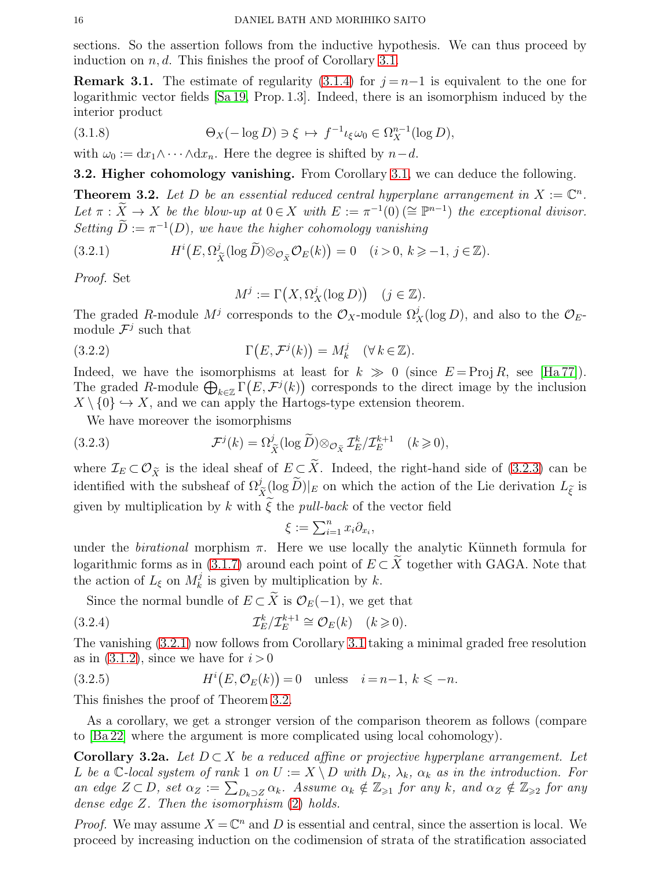sections. So the assertion follows from the inductive hypothesis. We can thus proceed by induction on  $n, d$ . This finishes the proof of Corollary [3.1.](#page-14-1)

**Remark 3.1.** The estimate of regularity [\(3.1.4\)](#page-14-3) for  $j = n-1$  is equivalent to the one for logarithmic vector fields [\[Sa 19,](#page-21-3) Prop. 1.3]. Indeed, there is an isomorphism induced by the interior product

(3.1.8) 
$$
\Theta_X(-\log D) \ni \xi \mapsto f^{-1}\iota_{\xi}\omega_0 \in \Omega_X^{n-1}(\log D),
$$

with  $\omega_0 := dx_1 \wedge \cdots \wedge dx_n$ . Here the degree is shifted by  $n-d$ .

**3.2. Higher cohomology vanishing.** From Corollary [3.1,](#page-14-1) we can deduce the following.

<span id="page-15-3"></span>**Theorem 3.2.** Let D be an essential reduced central hyperplane arrangement in  $X := \mathbb{C}^n$ . Let  $\pi : \widetilde{X} \to X$  be the blow-up at  $0 \in X$  with  $E := \pi^{-1}(0) \ (\cong \mathbb{P}^{n-1})$  the exceptional divisor. Setting  $\ddot{D} := \pi^{-1}(D)$ , we have the higher cohomology vanishing

(3.2.1) 
$$
H^{i}(E, \Omega_{\tilde{X}}^{j}(\log \tilde{D}) \otimes_{\mathcal{O}_{\tilde{X}}} \mathcal{O}_{E}(k)) = 0 \quad (i > 0, k \geq -1, j \in \mathbb{Z}).
$$

Proof. Set

<span id="page-15-2"></span>
$$
M^j := \Gamma\left(X, \Omega^j_X(\log D)\right) \quad (j \in \mathbb{Z}).
$$

The graded R-module  $M^j$  corresponds to the  $\mathcal{O}_X$ -module  $\Omega^j_X(\log D)$ , and also to the  $\mathcal{O}_E$ module  $\mathcal{F}^j$  such that

(3.2.2) 
$$
\Gamma(E, \mathcal{F}^j(k)) = M_k^j \quad (\forall \, k \in \mathbb{Z}).
$$

Indeed, we have the isomorphisms at least for  $k \gg 0$  (since  $E = \text{Proj } R$ , see [\[Ha 77\]](#page-20-30)). The graded R-module  $\bigoplus_{k\in\mathbb{Z}} \Gamma(E,\mathcal{F}^j(k))$  corresponds to the direct image by the inclusion  $X \setminus \{0\} \hookrightarrow X$ , and we can apply the Hartogs-type extension theorem.

We have moreover the isomorphisms

(3.2.3) 
$$
\mathcal{F}^{j}(k) = \Omega_{\tilde{X}}^{j}(\log \tilde{D}) \otimes_{\mathcal{O}_{\tilde{X}}} \mathcal{I}_{E}^{k} / \mathcal{I}_{E}^{k+1} \quad (k \geq 0),
$$

where  $\mathcal{I}_E \subset \mathcal{O}_{\tilde{X}}$  is the ideal sheaf of  $E \subset \tilde{X}$ . Indeed, the right-hand side of [\(3.2.3\)](#page-15-1) can be identified with the subsheaf of  $\Omega_{\tilde{X}}^{j}(\log \tilde{D})|_{E}$  on which the action of the Lie derivation  $L_{\tilde{\xi}}$  is given by multiplication by k with  $\xi$  the pull-back of the vector field

<span id="page-15-4"></span><span id="page-15-1"></span>
$$
\xi := \sum_{i=1}^n x_i \partial_{x_i},
$$

under the *birational* morphism  $\pi$ . Here we use locally the analytic Künneth formula for logarithmic forms as in [\(3.1.7\)](#page-14-4) around each point of  $E \subset X$  together with GAGA. Note that the action of  $L_{\xi}$  on  $M_k^j$  is given by multiplication by k.

Since the normal bundle of  $E \subset \widetilde{X}$  is  $\mathcal{O}_E(-1)$ , we get that

(3.2.4) 
$$
\mathcal{I}_E^k / \mathcal{I}_E^{k+1} \cong \mathcal{O}_E(k) \quad (k \geq 0).
$$

The vanishing [\(3.2.1\)](#page-15-2) now follows from Corollary [3.1](#page-14-1) taking a minimal graded free resolution as in  $(3.1.2)$ , since we have for  $i > 0$ 

(3.2.5) 
$$
H^{i}(E, \mathcal{O}_{E}(k)) = 0 \quad \text{unless} \quad i = n-1, k \leq -n.
$$

This finishes the proof of Theorem [3.2.](#page-15-3)

As a corollary, we get a stronger version of the comparison theorem as follows (compare to [\[Ba 22\]](#page-20-5) where the argument is more complicated using local cohomology).

<span id="page-15-0"></span>**Corollary 3.2a.** Let  $D \subset X$  be a reduced affine or projective hyperplane arrangement. Let L be a C-local system of rank 1 on  $U := X \setminus D$  with  $D_k$ ,  $\lambda_k$ ,  $\alpha_k$  as in the introduction. For an edge  $Z \subset D$ , set  $\alpha_Z := \sum_{D_k \supset Z} \alpha_k$ . Assume  $\alpha_k \notin \mathbb{Z}_{\geqslant 1}$  for any k, and  $\alpha_Z \notin \mathbb{Z}_{\geqslant 2}$  for any dense edge Z. Then the isomorphism [\(2\)](#page-0-1) holds.

*Proof.* We may assume  $X = \mathbb{C}^n$  and D is essential and central, since the assertion is local. We proceed by increasing induction on the codimension of strata of the stratification associated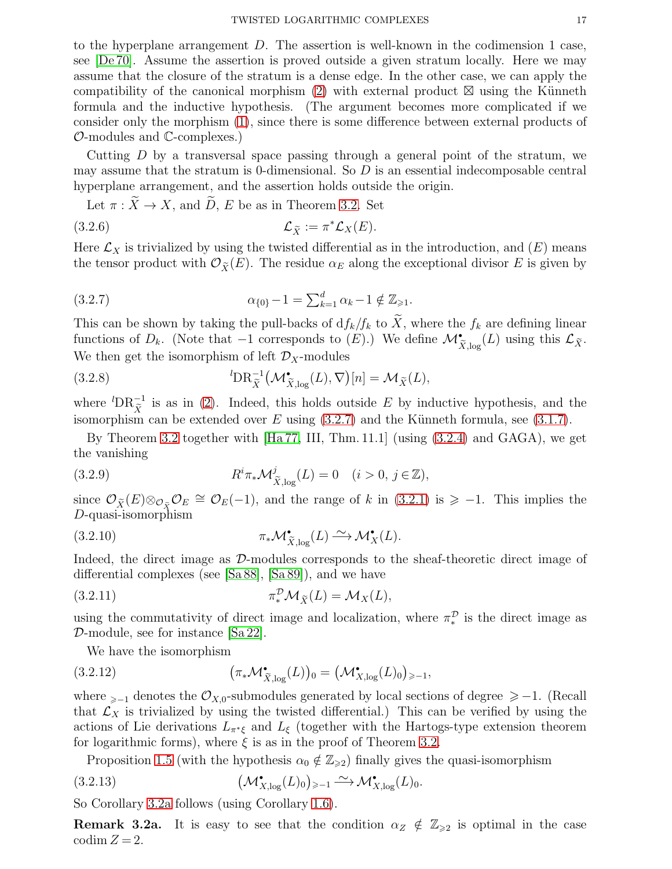to the hyperplane arrangement D. The assertion is well-known in the codimension 1 case, see [\[De 70\]](#page-20-1). Assume the assertion is proved outside a given stratum locally. Here we may assume that the closure of the stratum is a dense edge. In the other case, we can apply the compatibility of the canonical morphism [\(2\)](#page-0-1) with external product  $\boxtimes$  using the Künneth formula and the inductive hypothesis. (The argument becomes more complicated if we consider only the morphism [\(1\)](#page-0-0), since there is some difference between external products of O-modules and C-complexes.)

Cutting  $D$  by a transversal space passing through a general point of the stratum, we may assume that the stratum is 0-dimensional. So  $D$  is an essential indecomposable central hyperplane arrangement, and the assertion holds outside the origin.

<span id="page-16-1"></span>Let  $\pi : \widetilde{X} \to X$ , and  $\widetilde{D}$ , E be as in Theorem [3.2.](#page-15-3) Set

$$
(3.2.6) \t\t \t\t \mathcal{L}_{\tilde{X}} := \pi^* \mathcal{L}_X(E).
$$

Here  $\mathcal{L}_X$  is trivialized by using the twisted differential as in the introduction, and  $(E)$  means the tensor product with  $\mathcal{O}_{\tilde{X}}(E)$ . The residue  $\alpha_E$  along the exceptional divisor E is given by

<span id="page-16-0"></span>(3.2.7) 
$$
\alpha_{\{0\}} - 1 = \sum_{k=1}^{d} \alpha_k - 1 \notin \mathbb{Z}_{\geq 1}.
$$

This can be shown by taking the pull-backs of  $df_k/f_k$  to  $\widetilde{X}$ , where the  $f_k$  are defining linear functions of  $D_k$ . (Note that  $-1$  corresponds to  $(E)$ .) We define  $\mathcal{M}^{\bullet}_{\widetilde{X},\log}(L)$  using this  $\mathcal{L}_{\widetilde{X}}$ . We then get the isomorphism of left  $\mathcal{D}_X$ -modules

(3.2.8) 
$$
{}^{l}\mathbf{DR}_{\widetilde{X}}^{-1}(\mathcal{M}_{\widetilde{X},\log}^{\bullet}(L),\nabla)[n] = \mathcal{M}_{\widetilde{X}}(L),
$$

where  ${}^{l}DR_{\tilde{X}}^{-1}$  is as in [\(2\)](#page-0-1). Indeed, this holds outside E by inductive hypothesis, and the isomorphism can be extended over E using  $(3.2.7)$  and the Künneth formula, see  $(3.1.7)$ .

By Theorem [3.2](#page-15-3) together with [\[Ha 77,](#page-20-30) III, Thm. 11.1] (using [\(3.2.4\)](#page-15-4) and GAGA), we get the vanishing

<span id="page-16-3"></span>(3.2.9) 
$$
R^i \pi_* \mathcal{M}^j_{\widetilde{X}, \log}(L) = 0 \quad (i > 0, j \in \mathbb{Z}),
$$

since  $\mathcal{O}_{\tilde{X}}(E) \otimes_{\mathcal{O}_{\tilde{X}}} \mathcal{O}_E \cong \mathcal{O}_E(-1)$ , and the range of k in [\(3.2.1\)](#page-15-2) is  $\geq -1$ . This implies the D-quasi-isomorphism

(3.2.10) 
$$
\pi_* \mathcal{M}_{\widetilde{X}, \log}^{\bullet}(L) \xrightarrow{\sim} \mathcal{M}_X^{\bullet}(L).
$$

Indeed, the direct image as D-modules corresponds to the sheaf-theoretic direct image of differential complexes (see [\[Sa 88\]](#page-20-6), [\[Sa 89\]](#page-20-7)), and we have

(3.2.11) 
$$
\pi_*^{\mathcal{D}} \mathcal{M}_{\tilde{X}}(L) = \mathcal{M}_X(L),
$$

using the commutativity of direct image and localization, where  $\pi^{\mathcal{D}}_*$  is the direct image as D-module, see for instance [\[Sa 22\]](#page-21-14).

<span id="page-16-4"></span><span id="page-16-2"></span>We have the isomorphism

(3.2.12) 
$$
(\pi_* \mathcal{M}^{\bullet}_{\widetilde{X}, \log}(L))_0 = (\mathcal{M}^{\bullet}_{X, \log}(L)_0)_{\geq -1},
$$

where  $_{\geq -1}$  denotes the  $\mathcal{O}_{X,0}$ -submodules generated by local sections of degree  $\geq -1$ . (Recall that  $\mathcal{L}_X$  is trivialized by using the twisted differential.) This can be verified by using the actions of Lie derivations  $L_{\pi^*\xi}$  and  $L_{\xi}$  (together with the Hartogs-type extension theorem for logarithmic forms), where  $\xi$  is as in the proof of Theorem [3.2.](#page-15-3)

Proposition [1.5](#page-8-1) (with the hypothesis  $\alpha_0 \notin \mathbb{Z}_{\geq 2}$ ) finally gives the quasi-isomorphism

(3.2.13) 
$$
\left(\mathcal{M}_{X,\log}^{\bullet}(L)_0\right)_{\geq -1} \xrightarrow{\sim} \mathcal{M}_{X,\log}^{\bullet}(L)_0.
$$

So Corollary [3.2a](#page-15-0) follows (using Corollary [1.6\)](#page-9-0).

**Remark 3.2a.** It is easy to see that the condition  $\alpha_Z \notin \mathbb{Z}_{\geq 2}$  is optimal in the case  $\operatorname{codim} Z = 2$ .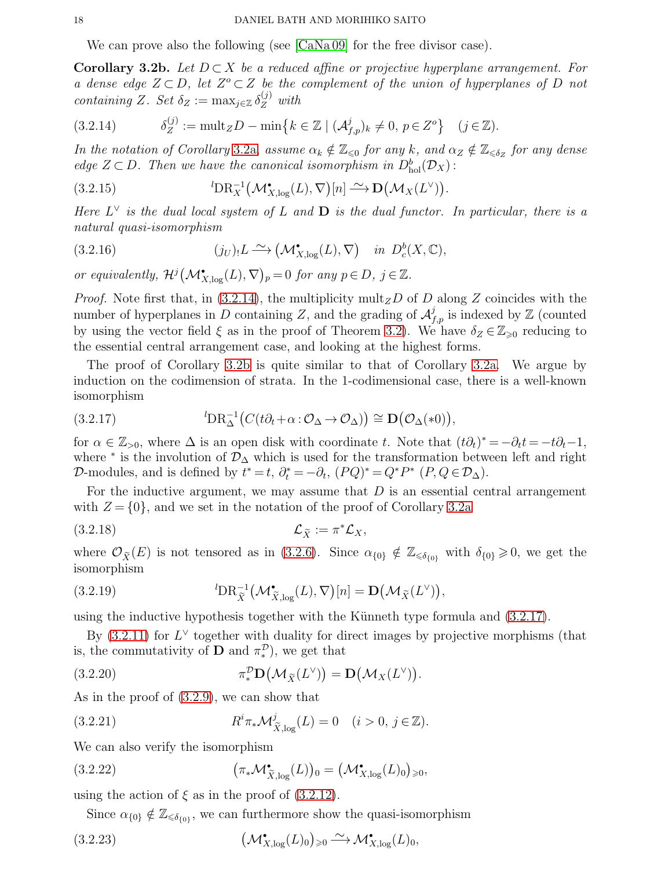<span id="page-17-1"></span>We can prove also the following (see [\[CaNa 09\]](#page-20-4) for the free divisor case).

<span id="page-17-0"></span>**Corollary 3.2b.** Let  $D \subset X$  be a reduced affine or projective hyperplane arrangement. For a dense edge  $Z \subset D$ , let  $Z^o \subset Z$  be the complement of the union of hyperplanes of D not containing Z. Set  $\delta_Z := \max_{j \in \mathbb{Z}} \delta_Z^{(j)}$  with

$$
(3.2.14) \t\t \delta_Z^{(j)} := \mathrm{mult}_Z D - \mathrm{min}\big\{k \in \mathbb{Z} \mid (\mathcal{A}_{f,p}^j)_k \neq 0, \ p \in Z^o\big\} \quad (j \in \mathbb{Z}).
$$

In the notation of Corollary [3.2a,](#page-15-0) assume  $\alpha_k \notin \mathbb{Z}_{\leqslant 0}$  for any k, and  $\alpha_Z \notin \mathbb{Z}_{\leqslant \delta_Z}$  for any dense edge  $Z \subset D$ . Then we have the canonical isomorphism in  $D_{hol}^b(\mathcal{D}_X)$ :

(3.2.15) 
$$
{}^{l}\mathbf{DR}_{X}^{-1}(\mathcal{M}_{X,\log}^{\bullet}(L),\nabla)[n] \xrightarrow{\sim} \mathbf{D}(\mathcal{M}_{X}(L^{\vee})).
$$

Here  $L^{\vee}$  is the dual local system of L and **D** is the dual functor. In particular, there is a natural quasi-isomorphism

(3.2.16) 
$$
(j_U)_! L \xrightarrow{\sim} (\mathcal{M}^{\bullet}_{X,\log}(L), \nabla) \quad in \ D_c^b(X, \mathbb{C}),
$$

or equivalently,  $\mathcal{H}^j(\mathcal{M}_{X,\log}^{\bullet}(L), \nabla)_p = 0$  for any  $p \in D$ ,  $j \in \mathbb{Z}$ .

*Proof.* Note first that, in [\(3.2.14\)](#page-17-1), the multiplicity mult<sub>Z</sub>D of D along Z coincides with the number of hyperplanes in D containing Z, and the grading of  $\mathcal{A}_{f,p}^j$  is indexed by Z (counted by using the vector field  $\xi$  as in the proof of Theorem [3.2\)](#page-15-3). We have  $\delta_Z \in \mathbb{Z}_{\geq 0}$  reducing to the essential central arrangement case, and looking at the highest forms.

The proof of Corollary [3.2b](#page-17-0) is quite similar to that of Corollary [3.2a.](#page-15-0) We argue by induction on the codimension of strata. In the 1-codimensional case, there is a well-known isomorphism

<span id="page-17-2"></span>(3.2.17) 
$$
{}^{l}\mathbf{DR}_{\Delta}^{-1}\big(C(t\partial_{t}+\alpha:\mathcal{O}_{\Delta}\to\mathcal{O}_{\Delta})\big)\cong\mathbf{D}\big(\mathcal{O}_{\Delta}(*0)\big),
$$

for  $\alpha \in \mathbb{Z}_{>0}$ , where  $\Delta$  is an open disk with coordinate t. Note that  $(t\partial_t)^* = -\partial_t t = -t\partial_t - 1$ , where  $*$  is the involution of  $\mathcal{D}_{\Delta}$  which is used for the transformation between left and right D-modules, and is defined by  $t^* = t$ ,  $\partial_t^* = -\partial_t$ ,  $(PQ)^* = Q^*P^*$   $(P, Q \in \mathcal{D}_\Delta)$ .

For the inductive argument, we may assume that  $D$  is an essential central arrangement with  $Z = \{0\}$ , and we set in the notation of the proof of Corollary [3.2a](#page-15-0)

$$
(3.2.18) \t\t\t \mathcal{L}_{\tilde{X}} := \pi^* \mathcal{L}_X,
$$

where  $\mathcal{O}_{\tilde{X}}(E)$  is not tensored as in [\(3.2.6\)](#page-16-1). Since  $\alpha_{\{0\}} \notin \mathbb{Z}_{\leq \delta_{\{0\}}}$  with  $\delta_{\{0\}} \geq 0$ , we get the isomorphism

(3.2.19) 
$$
{}^{l}\mathbf{DR}_{\widetilde{X}}^{-1}(\mathcal{M}_{\widetilde{X},\log}^{\bullet}(L),\nabla)[n] = \mathbf{D}(\mathcal{M}_{\widetilde{X}}(L^{\vee})),
$$

using the inductive hypothesis together with the Künneth type formula and  $(3.2.17)$ .

By  $(3.2.11)$  for  $L^{\vee}$  together with duality for direct images by projective morphisms (that is, the commutativity of **D** and  $\pi_*^{\mathcal{D}}$ , we get that

(3.2.20) 
$$
\pi_*^{\mathcal{D}} \mathbf{D}(\mathcal{M}_{\widetilde{X}}(L^{\vee})) = \mathbf{D}(\mathcal{M}_X(L^{\vee})).
$$

As in the proof of [\(3.2.9\)](#page-16-3), we can show that

(3.2.21) 
$$
R^{i} \pi_{*} \mathcal{M}^{j}_{\widetilde{X}, \log}(L) = 0 \quad (i > 0, j \in \mathbb{Z}).
$$

We can also verify the isomorphism

$$
(3.2.22) \qquad (\pi_* \mathcal{M}^{\bullet}_{\widetilde{X}, \log}(L))_0 = \left(\mathcal{M}^{\bullet}_{X, \log}(L)_0\right)_{\geq 0},
$$

using the action of  $\xi$  as in the proof of [\(3.2.12\)](#page-16-4).

Since  $\alpha_{\{0\}} \notin \mathbb{Z}_{\leq \delta_{\{0\}}}$ , we can furthermore show the quasi-isomorphism

$$
(\mathcal{M}_{X,\log}^{\bullet}(L)_0)_{\geqslant 0} \xrightarrow{\sim} \mathcal{M}_{X,\log}^{\bullet}(L)_0,
$$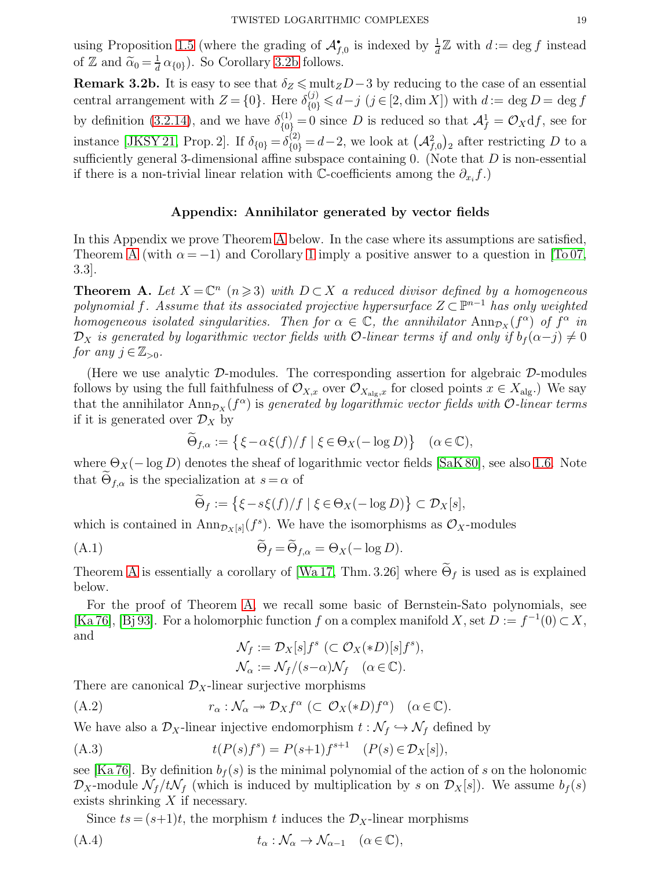using Proposition [1.5](#page-8-1) (where the grading of  $\mathcal{A}_{f,0}^{\bullet}$  is indexed by  $\frac{1}{d}\mathbb{Z}$  with  $d := \deg f$  instead of Z and  $\widetilde{\alpha}_0 = \frac{1}{d}$  $\frac{1}{d} \alpha_{\{0\}}$ ). So Corollary [3.2b](#page-17-0) follows.

Remark 3.2b. It is easy to see that  $\delta_Z \le \text{mult}_Z D - 3$  by reducing to the case of an essential central arrangement with  $Z = \{0\}$ . Here  $\delta_{\{0\}}^{(j)} \leq d-j$   $(j \in [2, \dim X])$  with  $d := \deg D = \deg f$ by definition [\(3.2.14\)](#page-17-1), and we have  $\delta_{\{0\}}^{(1)} = 0$  since D is reduced so that  $\mathcal{A}_f^1 = \mathcal{O}_X df$ , see for instance [\[JKSY 21,](#page-20-16) Prop. 2]. If  $\delta_{\{0\}} = \delta_{\{0\}}^{(2)} = d - 2$ , we look at  $(\mathcal{A}_{f,0}^2)_2$  after restricting D to a sufficiently general 3-dimensional affine subspace containing  $0$ . (Note that  $D$  is non-essential if there is a non-trivial linear relation with  $\mathbb{C}$ -coefficients among the  $\partial_{x_i} f$ .)

## Appendix: Annihilator generated by vector fields

In this Appendix we prove Theorem [A](#page-18-0) below. In the case where its assumptions are satisfied, Theorem [A](#page-18-0) (with  $\alpha = -1$ ) and Corollary [1](#page-2-0) imply a positive answer to a question in [\[To 07,](#page-21-1) 3.3].

<span id="page-18-0"></span>**Theorem A.** Let  $X = \mathbb{C}^n$   $(n \geq 3)$  with  $D \subset X$  a reduced divisor defined by a homogeneous polynomial f. Assume that its associated projective hypersurface  $Z \subset \mathbb{P}^{n-1}$  has only weighted homogeneous isolated singularities. Then for  $\alpha \in \mathbb{C}$ , the annihilator  $\text{Ann}_{\mathcal{D}_X}(f^{\alpha})$  of  $f^{\alpha}$  in  $\mathcal{D}_X$  is generated by logarithmic vector fields with O-linear terms if and only if  $b_f(\alpha-j) \neq 0$ for any  $j \in \mathbb{Z}_{>0}$ .

(Here we use analytic  $\mathcal{D}$ -modules. The corresponding assertion for algebraic  $\mathcal{D}$ -modules follows by using the full faithfulness of  $\mathcal{O}_{X,x}$  over  $\mathcal{O}_{X_{\text{alg},x}}$  for closed points  $x \in X_{\text{alg}}$ .) We say that the annihilator  $\text{Ann}_{\mathcal{D}_X}(f^\alpha)$  is generated by logarithmic vector fields with  $\mathcal{O}\text{-}linear$  terms if it is generated over  $\mathcal{D}_X$  by

$$
\widetilde{\Theta}_{f,\alpha} := \left\{ \xi - \alpha \xi(f)/f \mid \xi \in \Theta_X(-\log D) \right\} \quad (\alpha \in \mathbb{C}),
$$

where  $\Theta_X(-\log D)$  denotes the sheaf of logarithmic vector fields [\[SaK 80\]](#page-20-0), see also [1.6.](#page-8-0) Note that  $\Theta_{f,\alpha}$  is the specialization at  $s = \alpha$  of

$$
\widetilde{\Theta}_f := \left\{ \xi - s\xi(f)/f \mid \xi \in \Theta_X(-\log D) \right\} \subset \mathcal{D}_X[s],
$$

which is contained in  $\text{Ann}_{\mathcal{D}_X[s]}(f^s)$ . We have the isomorphisms as  $\mathcal{O}_X$ -modules

$$
\widetilde{\Theta}_f = \widetilde{\Theta}_{f,\alpha} = \Theta_X(-\log D).
$$

Theorem [A](#page-18-0) is essentially a corollary of [\[Wa 17,](#page-21-15) Thm. 3.26] where  $\tilde{\Theta}_f$  is used as is explained below.

For the proof of Theorem [A,](#page-18-0) we recall some basic of Bernstein-Sato polynomials, see [\[Ka 76\]](#page-20-14), [\[Bj 93\]](#page-20-31). For a holomorphic function f on a complex manifold X, set  $D := f^{-1}(0) \subset X$ , and

<span id="page-18-3"></span><span id="page-18-2"></span><span id="page-18-1"></span>
$$
\mathcal{N}_f := \mathcal{D}_X[s] f^s \ (\subset \mathcal{O}_X(*D)[s] f^s),
$$
  

$$
\mathcal{N}_\alpha := \mathcal{N}_f/(s-\alpha)\mathcal{N}_f \quad (\alpha \in \mathbb{C}).
$$

There are canonical  $\mathcal{D}_X$ -linear surjective morphisms

(A.2) 
$$
r_{\alpha}: \mathcal{N}_{\alpha} \to \mathcal{D}_X f^{\alpha} \ (\subset \mathcal{O}_X(*D) f^{\alpha}) \quad (\alpha \in \mathbb{C}).
$$

We have also a  $\mathcal{D}_X$ -linear injective endomorphism  $t : \mathcal{N}_f \hookrightarrow \mathcal{N}_f$  defined by

(A.3) 
$$
t(P(s)f^{s}) = P(s+1)f^{s+1} \quad (P(s) \in \mathcal{D}_X[s]),
$$

see [\[Ka 76\]](#page-20-14). By definition  $b_f(s)$  is the minimal polynomial of the action of s on the holonomic  $\mathcal{D}_X$ -module  $\mathcal{N}_f/t\mathcal{N}_f$  (which is induced by multiplication by s on  $\mathcal{D}_X[s]$ ). We assume  $b_f(s)$ exists shrinking  $X$  if necessary.

Since  $ts = (s+1)t$ , the morphism t induces the  $\mathcal{D}_X$ -linear morphisms

$$
(A.4) \t t_{\alpha} : \mathcal{N}_{\alpha} \to \mathcal{N}_{\alpha-1} \quad (\alpha \in \mathbb{C}),
$$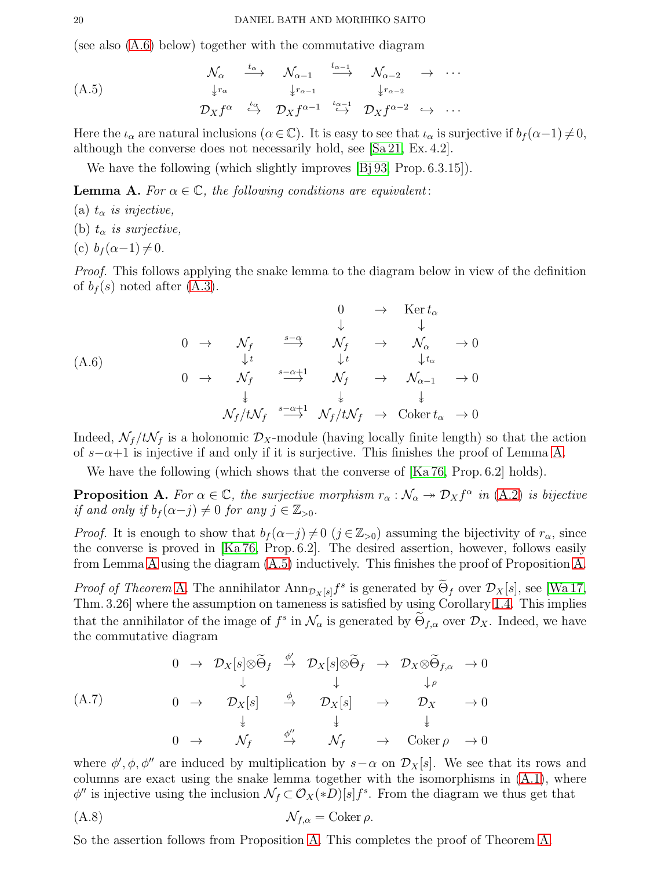(see also [\(A.6\)](#page-19-0) below) together with the commutative diagram

<span id="page-19-2"></span>
$$
(A.5) \quad\n\begin{array}{ccccccc}\n\mathcal{N}_{\alpha} & \xrightarrow{t_{\alpha}} & \mathcal{N}_{\alpha-1} & \xrightarrow{t_{\alpha-1}} & \mathcal{N}_{\alpha-2} & \rightarrow & \cdots \\
\downarrow^{r_{\alpha}} & & \downarrow^{r_{\alpha-1}} & & \downarrow^{r_{\alpha-2}} \\
\mathcal{D}_X f^{\alpha} & \xrightarrow{\iota_{\alpha}} & \mathcal{D}_X f^{\alpha-1} & \xrightarrow{\iota_{\alpha-1}} & \mathcal{D}_X f^{\alpha-2} & \rightarrow & \cdots\n\end{array}
$$

Here the  $\iota_{\alpha}$  are natural inclusions  $(\alpha \in \mathbb{C})$ . It is easy to see that  $\iota_{\alpha}$  is surjective if  $b_f(\alpha-1) \neq 0$ , although the converse does not necessarily hold, see [\[Sa 21,](#page-21-16) Ex. 4.2].

We have the following (which slightly improves [\[Bj 93,](#page-20-31) Prop. 6.3.15]).

<span id="page-19-1"></span>**Lemma A.** For  $\alpha \in \mathbb{C}$ , the following conditions are equivalent:

- (a)  $t_{\alpha}$  is injective,
- (b)  $t_{\alpha}$  is surjective,
- (c)  $b_f(\alpha-1) \neq 0$ .

Proof. This follows applying the snake lemma to the diagram below in view of the definition of  $b_f(s)$  noted after  $(A.3)$ .

<span id="page-19-0"></span>
$$
\begin{array}{ccccccc}\n & & & & & & 0 & \rightarrow & \text{Ker } t_{\alpha} \\
 & & & & & \downarrow & & \downarrow & & \\
0 & \rightarrow & \mathcal{N}_f & \xrightarrow{s-\alpha} & \mathcal{N}_f & \rightarrow & \mathcal{N}_{\alpha} & \rightarrow 0 \\
 & & & & \downarrow t & & \downarrow t_{\alpha} & \\
0 & \rightarrow & \mathcal{N}_f & \xrightarrow{s-\alpha+1} & \mathcal{N}_f & \rightarrow & \mathcal{N}_{\alpha-1} & \rightarrow 0 \\
 & & & & \downarrow & & \downarrow & & \downarrow \\
 & & & & \mathcal{N}_f/t\mathcal{N}_f & \xrightarrow{s-\alpha+1} & \mathcal{N}_f/t\mathcal{N}_f & \rightarrow & \text{Coker } t_{\alpha} & \rightarrow 0\n\end{array}
$$

Indeed,  $\mathcal{N}_f / t \mathcal{N}_f$  is a holonomic  $\mathcal{D}_X$ -module (having locally finite length) so that the action of  $s-\alpha+1$  is injective if and only if it is surjective. This finishes the proof of Lemma [A.](#page-19-1)

We have the following (which shows that the converse of  $[Ka 76, Prop. 6.2]$  holds).

<span id="page-19-3"></span>**Proposition A.** For  $\alpha \in \mathbb{C}$ , the surjective morphism  $r_{\alpha}: \mathcal{N}_{\alpha} \to \mathcal{D}_X f^{\alpha}$  in [\(A.2\)](#page-18-2) is bijective if and only if  $b_f(\alpha-j) \neq 0$  for any  $j \in \mathbb{Z}_{> 0}$ .

*Proof.* It is enough to show that  $b_f(\alpha-j) \neq 0$   $(j \in \mathbb{Z}_{>0})$  assuming the bijectivity of  $r_\alpha$ , since the converse is proved in [\[Ka 76,](#page-20-14) Prop. 6.2]. The desired assertion, however, follows easily from Lemma [A](#page-19-1) using the diagram [\(A.5\)](#page-19-2) inductively. This finishes the proof of Proposition [A.](#page-19-3)

*Proof of Theorem* [A.](#page-18-0) The annihilator  $\text{Ann}_{\mathcal{D}_X[s]}f^s$  is generated by  $\Theta_f$  over  $\mathcal{D}_X[s]$ , see [\[Wa 17,](#page-21-15) Thm. 3.26] where the assumption on tameness is satisfied by using Corollary [1.4.](#page-7-3) This implies that the annihilator of the image of  $f^s$  in  $\mathcal{N}_{\alpha}$  is generated by  $\Theta_{f,\alpha}$  over  $\mathcal{D}_X$ . Indeed, we have the commutative diagram

$$
\begin{array}{ccccccc}\n & 0 & \rightarrow & \mathcal{D}_X[s] \otimes \widetilde{\Theta}_f & \xrightarrow{\phi'} & \mathcal{D}_X[s] \otimes \widetilde{\Theta}_f & \rightarrow & \mathcal{D}_X \otimes \widetilde{\Theta}_{f,\alpha} & \rightarrow 0 \\
 & & & & \downarrow & & \downarrow \rho \\
 & 0 & \rightarrow & \mathcal{D}_X[s] & \xrightarrow{\phi} & \mathcal{D}_X[s] & \rightarrow & \mathcal{D}_X & \rightarrow 0 \\
 & & & & \downarrow & & \downarrow & & \downarrow \\
 & 0 & \rightarrow & \mathcal{N}_f & \xrightarrow{\phi''} & \mathcal{N}_f & \rightarrow & \text{Coker}\,\rho & \rightarrow 0\n\end{array}
$$

where  $\phi', \phi, \phi''$  are induced by multiplication by  $s-\alpha$  on  $\mathcal{D}_X[s]$ . We see that its rows and columns are exact using the snake lemma together with the isomorphisms in [\(A.1\)](#page-18-3), where  $\phi''$  is injective using the inclusion  $\mathcal{N}_f \subset \mathcal{O}_X(*D)[s]f^s$ . From the diagram we thus get that

(A.8) Nf,α = Coker ρ.

So the assertion follows from Proposition [A.](#page-19-3) This completes the proof of Theorem [A.](#page-18-0)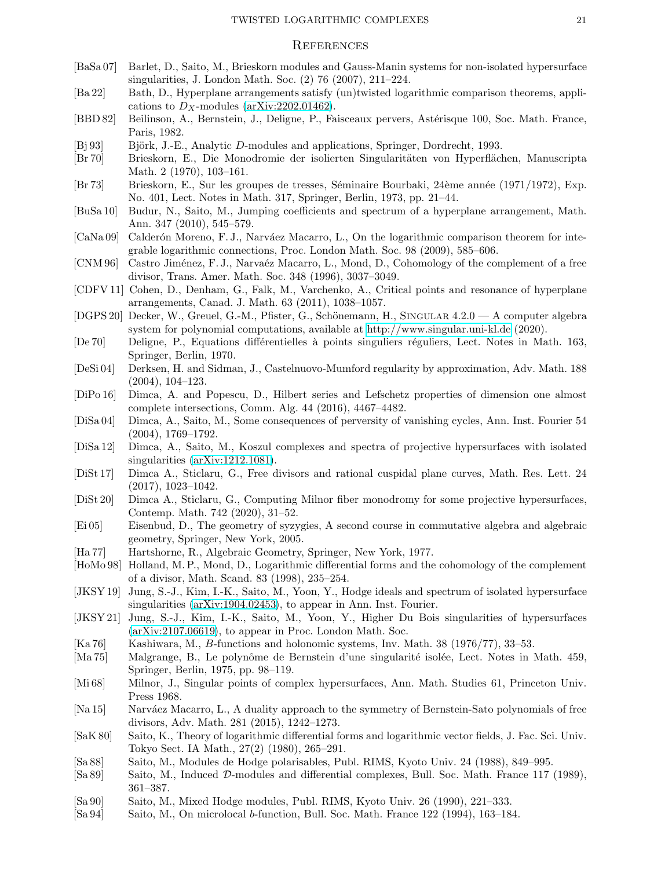#### **REFERENCES**

- <span id="page-20-11"></span>[BaSa 07] Barlet, D., Saito, M., Brieskorn modules and Gauss-Manin systems for non-isolated hypersurface singularities, J. London Math. Soc. (2) 76 (2007), 211–224.
- <span id="page-20-5"></span>[Ba 22] Bath, D., Hyperplane arrangements satisfy (un)twisted logarithmic comparison theorems, applications to  $D_X$ -modules [\(arXiv:2202.01462\)](http://arxiv.org/abs/2202.01462).
- <span id="page-20-25"></span>[BBD 82] Beilinson, A., Bernstein, J., Deligne, P., Faisceaux pervers, Astérisque 100, Soc. Math. France, Paris, 1982.
- <span id="page-20-31"></span>[Bj 93] Björk, J.-E., Analytic D-modules and applications, Springer, Dordrecht, 1993.
- <span id="page-20-12"></span>[Br 70] Brieskorn, E., Die Monodromie der isolierten Singularit¨aten von Hyperfl¨achen, Manuscripta Math. 2 (1970), 103–161.
- <span id="page-20-10"></span>[Br 73] Brieskorn, E., Sur les groupes de tresses, S´eminaire Bourbaki, 24`eme ann´ee (1971/1972), Exp. No. 401, Lect. Notes in Math. 317, Springer, Berlin, 1973, pp. 21–44.
- <span id="page-20-24"></span>[BuSa 10] Budur, N., Saito, M., Jumping coefficients and spectrum of a hyperplane arrangement, Math. Ann. 347 (2010), 545–579.
- <span id="page-20-4"></span>[CaNa 09] Calderón Moreno, F. J., Narváez Macarro, L., On the logarithmic comparison theorem for integrable logarithmic connections, Proc. London Math. Soc. 98 (2009), 585–606.
- <span id="page-20-2"></span>[CNM 96] Castro Jiménez, F. J., Narvaéz Macarro, L., Mond, D., Cohomology of the complement of a free divisor, Trans. Amer. Math. Soc. 348 (1996), 3037–3049.
- <span id="page-20-29"></span>[CDFV 11] Cohen, D., Denham, G., Falk, M., Varchenko, A., Critical points and resonance of hyperplane arrangements, Canad. J. Math. 63 (2011), 1038–1057.
- <span id="page-20-27"></span>[DGPS 20] Decker, W., Greuel, G.-M., Pfister, G., Schönemann, H., SINGULAR 4.2.0 — A computer algebra system for polynomial computations, available at<http://www.singular.uni-kl.de> (2020).
- <span id="page-20-1"></span>[De 70] Deligne, P., Equations differentielles à points singuliers réguliers, Lect. Notes in Math. 163, Springer, Berlin, 1970.
- <span id="page-20-8"></span>[DeSi 04] Derksen, H. and Sidman, J., Castelnuovo-Mumford regularity by approximation, Adv. Math. 188 (2004), 104–123.
- <span id="page-20-20"></span>[DiPo 16] Dimca, A. and Popescu, D., Hilbert series and Lefschetz properties of dimension one almost complete intersections, Comm. Alg. 44 (2016), 4467–4482.
- <span id="page-20-15"></span>[DiSa 04] Dimca, A., Saito, M., Some consequences of perversity of vanishing cycles, Ann. Inst. Fourier 54 (2004), 1769–1792.
- <span id="page-20-13"></span>[DiSa 12] Dimca, A., Saito, M., Koszul complexes and spectra of projective hypersurfaces with isolated singularities [\(arXiv:1212.1081\)](http://arxiv.org/abs/1212.1081).
- <span id="page-20-19"></span>[DiSt 17] Dimca A., Sticlaru, G., Free divisors and rational cuspidal plane curves, Math. Res. Lett. 24 (2017), 1023–1042.
- <span id="page-20-17"></span>[DiSt 20] Dimca A., Sticlaru, G., Computing Milnor fiber monodromy for some projective hypersurfaces, Contemp. Math. 742 (2020), 31–52.
- <span id="page-20-28"></span>[Ei 05] Eisenbud, D., The geometry of syzygies, A second course in commutative algebra and algebraic geometry, Springer, New York, 2005.
- <span id="page-20-30"></span>[Ha 77] Hartshorne, R., Algebraic Geometry, Springer, New York, 1977.
- <span id="page-20-3"></span>[HoMo 98] Holland, M. P., Mond, D., Logarithmic differential forms and the cohomology of the complement of a divisor, Math. Scand. 83 (1998), 235–254.
- <span id="page-20-21"></span>[JKSY 19] Jung, S.-J., Kim, I.-K., Saito, M., Yoon, Y., Hodge ideals and spectrum of isolated hypersurface singularities [\(arXiv:1904.02453\)](http://arxiv.org/abs/1904.02453), to appear in Ann. Inst. Fourier.
- <span id="page-20-16"></span>[JKSY 21] Jung, S.-J., Kim, I.-K., Saito, M., Yoon, Y., Higher Du Bois singularities of hypersurfaces [\(arXiv:2107.06619\)](http://arxiv.org/abs/2107.06619), to appear in Proc. London Math. Soc.
- <span id="page-20-14"></span>[Ka 76] Kashiwara, M., B-functions and holonomic systems, Inv. Math. 38 (1976/77), 33–53.
- <span id="page-20-22"></span>[Ma 75] Malgrange, B., Le polynˆome de Bernstein d'une singularit´e isol´ee, Lect. Notes in Math. 459, Springer, Berlin, 1975, pp. 98–119.
- <span id="page-20-23"></span>[Mi 68] Milnor, J., Singular points of complex hypersurfaces, Ann. Math. Studies 61, Princeton Univ. Press 1968.
- <span id="page-20-9"></span>[Na 15] Narváez Macarro, L., A duality approach to the symmetry of Bernstein-Sato polynomials of free divisors, Adv. Math. 281 (2015), 1242–1273.
- <span id="page-20-0"></span>[SaK 80] Saito, K., Theory of logarithmic differential forms and logarithmic vector fields, J. Fac. Sci. Univ. Tokyo Sect. IA Math., 27(2) (1980), 265–291.
- <span id="page-20-6"></span>[Sa 88] Saito, M., Modules de Hodge polarisables, Publ. RIMS, Kyoto Univ. 24 (1988), 849–995.
- <span id="page-20-7"></span>[Sa 89] Saito, M., Induced D-modules and differential complexes, Bull. Soc. Math. France 117 (1989), 361–387.
- <span id="page-20-26"></span>[Sa 90] Saito, M., Mixed Hodge modules, Publ. RIMS, Kyoto Univ. 26 (1990), 221–333.
- <span id="page-20-18"></span>[Sa 94] Saito, M., On microlocal b-function, Bull. Soc. Math. France 122 (1994), 163–184.